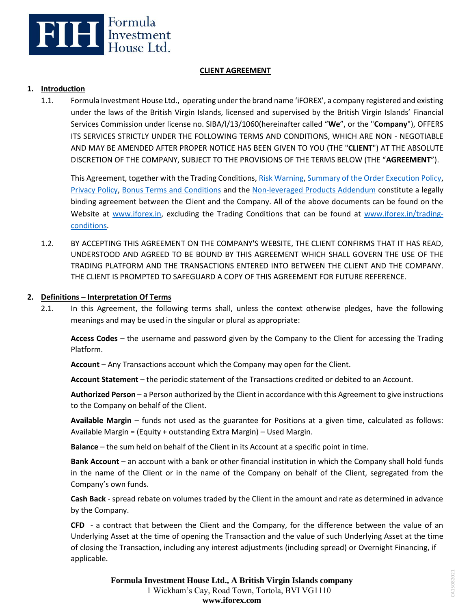

## **CLIENT AGREEMENT**

### **1. Introduction**

1.1. Formula Investment House Ltd., operating under the brand name 'iFOREX', a company registered and existing under the laws of the British Virgin Islands, licensed and supervised by the British Virgin Islands' Financial Services Commission under license no. SIBA/l/13/1060(hereinafter called "**We**", or the "**Company**"), OFFERS ITS SERVICES STRICTLY UNDER THE FOLLOWING TERMS AND CONDITIONS, WHICH ARE NON - NEGOTIABLE AND MAY BE AMENDED AFTER PROPER NOTICE HAS BEEN GIVEN TO YOU (THE "**CLIENT**") AT THE ABSOLUTE DISCRETION OF THE COMPANY, SUBJECT TO THE PROVISIONS OF THE TERMS BELOW (THE "**AGREEMENT**").

This Agreement, together with the Trading Conditions[, Risk Warning,](https://www.iforex.in/legal/risk-warning.pdf) [Summary of the Order Execution Policy,](https://www.iforex.in/legal/order_execution_policy.pdf) [Privacy Policy,](https://www.iforex.in/legal/privacy-policy.pdf) [Bonus Terms and Conditions](https://www.iforex.in/legal/bonus-terms-and-conditions.pdf) and the [Non-leveraged Products Addendum](https://www.iforex.in/legal/non-leveraged-products-addendum.pdf) constitute a legally binding agreement between the Client and the Company. All of the above documents can be found on the Website at [www.iforex.in,](https://www.iforex.in/) excluding the Trading Conditions that can be found at [www.iforex.in/trading](https://www.iforex.in/trading-conditions)[conditions.](https://www.iforex.in/trading-conditions)

1.2. BY ACCEPTING THIS AGREEMENT ON THE COMPANY'S WEBSITE, THE CLIENT CONFIRMS THAT IT HAS READ, UNDERSTOOD AND AGREED TO BE BOUND BY THIS AGREEMENT WHICH SHALL GOVERN THE USE OF THE TRADING PLATFORM AND THE TRANSACTIONS ENTERED INTO BETWEEN THE CLIENT AND THE COMPANY. THE CLIENT IS PROMPTED TO SAFEGUARD A COPY OF THIS AGREEMENT FOR FUTURE REFERENCE.

### **2. Definitions – Interpretation Of Terms**

2.1. In this Agreement, the following terms shall, unless the context otherwise pledges, have the following meanings and may be used in the singular or plural as appropriate:

**Access Codes** – the username and password given by the Company to the Client for accessing the Trading Platform.

**Account** – Any Transactions account which the Company may open for the Client.

**Account Statement** – the periodic statement of the Transactions credited or debited to an Account.

**Authorized Person** – a Person authorized by the Client in accordance with this Agreement to give instructions to the Company on behalf of the Client.

**Available Margin** – funds not used as the guarantee for Positions at a given time, calculated as follows: Available Margin = (Equity + outstanding Extra Margin) – Used Margin.

**Balance** – the sum held on behalf of the Client in its Account at a specific point in time.

**Bank Account** – an account with a bank or other financial institution in which the Company shall hold funds in the name of the Client or in the name of the Company on behalf of the Client, segregated from the Company's own funds.

**Cash Back** - spread rebate on volumes traded by the Client in the amount and rate as determined in advance by the Company.

**CFD** - a contract that between the Client and the Company, for the difference between the value of an Underlying Asset at the time of opening the Transaction and the value of such Underlying Asset at the time of closing the Transaction, including any interest adjustments (including spread) or Overnight Financing, if applicable.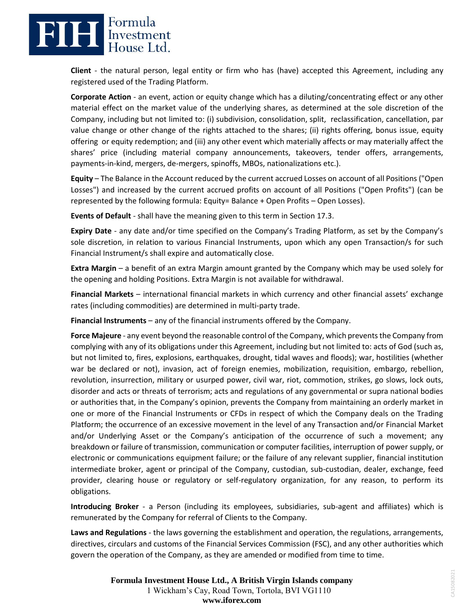# **ELLE** Expressment

**Client** - the natural person, legal entity or firm who has (have) accepted this Agreement, including any registered used of the Trading Platform.

**Corporate Action** - an event, action or equity change which has a diluting/concentrating effect or any other material effect on the market value of the underlying shares, as determined at the sole discretion of the Company, including but not limited to: (i) subdivision, consolidation, split, reclassification, cancellation, par value change or other change of the rights attached to the shares; (ii) rights offering, bonus issue, equity offering or equity redemption; and (iii) any other event which materially affects or may materially affect the shares' price (including material company announcements, takeovers, tender offers, arrangements, payments-in-kind, mergers, de-mergers, spinoffs, MBOs, nationalizations etc.).

**Equity** – The Balance in the Account reduced by the current accrued Losses on account of all Positions ("Open Losses") and increased by the current accrued profits on account of all Positions ("Open Profits") (can be represented by the following formula: Equity= Balance + Open Profits – Open Losses).

**Events of Default** - shall have the meaning given to this term in Section 17.3.

**Expiry Date** - any date and/or time specified on the Company's Trading Platform, as set by the Company's sole discretion, in relation to various Financial Instruments, upon which any open Transaction/s for such Financial Instrument/s shall expire and automatically close.

**Extra Margin** – a benefit of an extra Margin amount granted by the Company which may be used solely for the opening and holding Positions. Extra Margin is not available for withdrawal.

**Financial Markets** – international financial markets in which currency and other financial assets' exchange rates (including commodities) are determined in multi-party trade.

**Financial Instruments** – any of the financial instruments offered by the Company.

**Force Majeure** - any event beyond the reasonable control of the Company, which prevents the Company from complying with any of its obligations under this Agreement, including but not limited to: acts of God (such as, but not limited to, fires, explosions, earthquakes, drought, tidal waves and floods); war, hostilities (whether war be declared or not), invasion, act of foreign enemies, mobilization, requisition, embargo, rebellion, revolution, insurrection, military or usurped power, civil war, riot, commotion, strikes, go slows, lock outs, disorder and acts or threats of terrorism; acts and regulations of any governmental or supra national bodies or authorities that, in the Company's opinion, prevents the Company from maintaining an orderly market in one or more of the Financial Instruments or CFDs in respect of which the Company deals on the Trading Platform; the occurrence of an excessive movement in the level of any Transaction and/or Financial Market and/or Underlying Asset or the Company's anticipation of the occurrence of such a movement; any breakdown or failure of transmission, communication or computer facilities, interruption of power supply, or electronic or communications equipment failure; or the failure of any relevant supplier, financial institution intermediate broker, agent or principal of the Company, custodian, sub-custodian, dealer, exchange, feed provider, clearing house or regulatory or self-regulatory organization, for any reason, to perform its obligations.

**Introducing Broker** - a Person (including its employees, subsidiaries, sub-agent and affiliates) which is remunerated by the Company for referral of Clients to the Company.

**Laws and Regulations** - the laws governing the establishment and operation, the regulations, arrangements, directives, circulars and customs of the Financial Services Commission (FSC), and any other authorities which govern the operation of the Company, as they are amended or modified from time to time.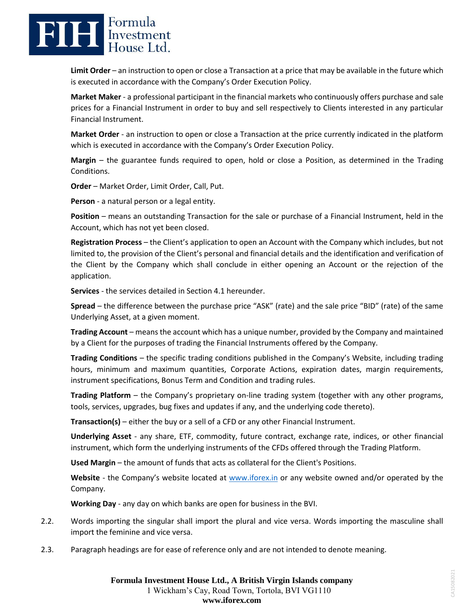

**Limit Order** – an instruction to open or close a Transaction at a price that may be available in the future which is executed in accordance with the Company's Order Execution Policy.

**Market Maker** - a professional participant in the financial markets who continuously offers purchase and sale prices for a Financial Instrument in order to buy and sell respectively to Clients interested in any particular Financial Instrument.

**Market Order** - an instruction to open or close a Transaction at the price currently indicated in the platform which is executed in accordance with the Company's Order Execution Policy.

**Margin** – the guarantee funds required to open, hold or close a Position, as determined in the Trading Conditions.

**Order** – Market Order, Limit Order, Call, Put.

**Person** - a natural person or a legal entity.

**Position** – means an outstanding Transaction for the sale or purchase of a Financial Instrument, held in the Account, which has not yet been closed.

**Registration Process** – the Client's application to open an Account with the Company which includes, but not limited to, the provision of the Client's personal and financial details and the identification and verification of the Client by the Company which shall conclude in either opening an Account or the rejection of the application.

**Services** - the services detailed in Section 4.1 hereunder.

**Spread** – the difference between the purchase price "ASK" (rate) and the sale price "BID" (rate) of the same Underlying Asset, at a given moment.

**Trading Account** – means the account which has a unique number, provided by the Company and maintained by a Client for the purposes of trading the Financial Instruments offered by the Company.

**Trading Conditions** – the specific trading conditions published in the Company's Website, including trading hours, minimum and maximum quantities, Corporate Actions, expiration dates, margin requirements, instrument specifications, Bonus Term and Condition and trading rules.

**Trading Platform** – the Company's proprietary on-line trading system (together with any other programs, tools, services, upgrades, bug fixes and updates if any, and the underlying code thereto).

**Transaction(s)** – either the buy or a sell of a CFD or any other Financial Instrument.

**Underlying Asset** - any share, ETF, commodity, future contract, exchange rate, indices, or other financial instrument, which form the underlying instruments of the CFDs offered through the Trading Platform.

**Used Margin** – the amount of funds that acts as collateral for the Client's Positions.

**Website** - the Company's website located at [www.iforex.in](https://www.iforex.in/) or any website owned and/or operated by the Company.

**Working Day** - any day on which banks are open for business in the BVI.

- 2.2. Words importing the singular shall import the plural and vice versa. Words importing the masculine shall import the feminine and vice versa.
- 2.3. Paragraph headings are for ease of reference only and are not intended to denote meaning.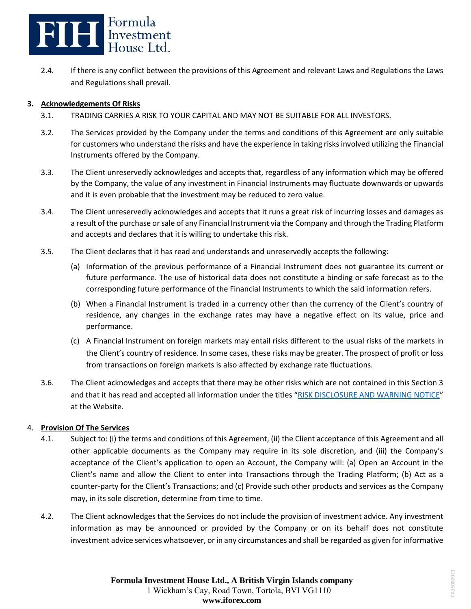

2.4. If there is any conflict between the provisions of this Agreement and relevant Laws and Regulations the Laws and Regulations shall prevail.

## **3. Acknowledgements Of Risks**

- 3.1. TRADING CARRIES A RISK TO YOUR CAPITAL AND MAY NOT BE SUITABLE FOR ALL INVESTORS.
- 3.2. The Services provided by the Company under the terms and conditions of this Agreement are only suitable for customers who understand the risks and have the experience in taking risks involved utilizing the Financial Instruments offered by the Company.
- 3.3. The Client unreservedly acknowledges and accepts that, regardless of any information which may be offered by the Company, the value of any investment in Financial Instruments may fluctuate downwards or upwards and it is even probable that the investment may be reduced to zero value.
- 3.4. The Client unreservedly acknowledges and accepts that it runs a great risk of incurring losses and damages as a result of the purchase or sale of any Financial Instrument via the Company and through the Trading Platform and accepts and declares that it is willing to undertake this risk.
- 3.5. The Client declares that it has read and understands and unreservedly accepts the following:
	- (a) Information of the previous performance of a Financial Instrument does not guarantee its current or future performance. The use of historical data does not constitute a binding or safe forecast as to the corresponding future performance of the Financial Instruments to which the said information refers.
	- (b) When a Financial Instrument is traded in a currency other than the currency of the Client's country of residence, any changes in the exchange rates may have a negative effect on its value, price and performance.
	- (c) A Financial Instrument on foreign markets may entail risks different to the usual risks of the markets in the Client's country of residence. In some cases, these risks may be greater. The prospect of profit or loss from transactions on foreign markets is also affected by exchange rate fluctuations.
- 3.6. The Client acknowledges and accepts that there may be other risks which are not contained in this Section 3 and that it has read and accepted all information under the titles "[RISK DISCLOSURE AND WARNING NOTICE](https://www.iforex.in/legal/risk-warning.pdf)" at the Website.

### 4. **Provision Of The Services**

- 4.1. Subject to: (i) the terms and conditions of this Agreement, (ii) the Client acceptance of this Agreement and all other applicable documents as the Company may require in its sole discretion, and (iii) the Company's acceptance of the Client's application to open an Account, the Company will: (a) Open an Account in the Client's name and allow the Client to enter into Transactions through the Trading Platform; (b) Act as a counter-party for the Client's Transactions; and (c) Provide such other products and services as the Company may, in its sole discretion, determine from time to time.
- 4.2. The Client acknowledges that the Services do not include the provision of investment advice. Any investment information as may be announced or provided by the Company or on its behalf does not constitute investment advice services whatsoever, or in any circumstances and shall be regarded as given for informative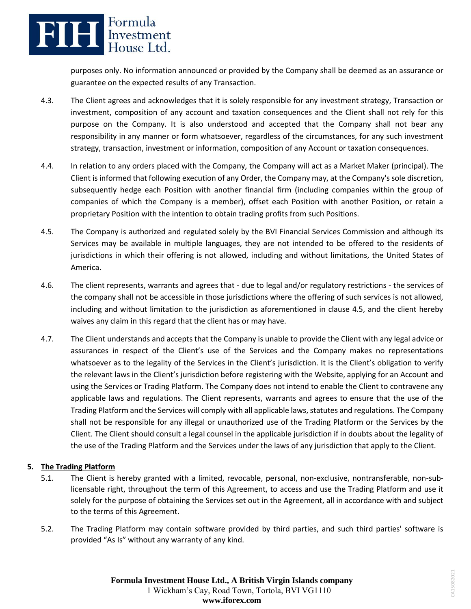# **FILE** Expressment

purposes only. No information announced or provided by the Company shall be deemed as an assurance or guarantee on the expected results of any Transaction.

- 4.3. The Client agrees and acknowledges that it is solely responsible for any investment strategy, Transaction or investment, composition of any account and taxation consequences and the Client shall not rely for this purpose on the Company. It is also understood and accepted that the Company shall not bear any responsibility in any manner or form whatsoever, regardless of the circumstances, for any such investment strategy, transaction, investment or information, composition of any Account or taxation consequences.
- 4.4. In relation to any orders placed with the Company, the Company will act as a Market Maker (principal). The Client is informed that following execution of any Order, the Company may, at the Company's sole discretion, subsequently hedge each Position with another financial firm (including companies within the group of companies of which the Company is a member), offset each Position with another Position, or retain a proprietary Position with the intention to obtain trading profits from such Positions.
- 4.5. The Company is authorized and regulated solely by the BVI Financial Services Commission and although its Services may be available in multiple languages, they are not intended to be offered to the residents of jurisdictions in which their offering is not allowed, including and without limitations, the United States of America.
- 4.6. The client represents, warrants and agrees that due to legal and/or regulatory restrictions the services of the company shall not be accessible in those jurisdictions where the offering of such services is not allowed, including and without limitation to the jurisdiction as aforementioned in clause 4.5, and the client hereby waives any claim in this regard that the client has or may have.
- 4.7. The Client understands and accepts that the Company is unable to provide the Client with any legal advice or assurances in respect of the Client's use of the Services and the Company makes no representations whatsoever as to the legality of the Services in the Client's jurisdiction. It is the Client's obligation to verify the relevant laws in the Client's jurisdiction before registering with the Website, applying for an Account and using the Services or Trading Platform. The Company does not intend to enable the Client to contravene any applicable laws and regulations. The Client represents, warrants and agrees to ensure that the use of the Trading Platform and the Services will comply with all applicable laws, statutes and regulations. The Company shall not be responsible for any illegal or unauthorized use of the Trading Platform or the Services by the Client. The Client should consult a legal counsel in the applicable jurisdiction if in doubts about the legality of the use of the Trading Platform and the Services under the laws of any jurisdiction that apply to the Client.

## **5. The Trading Platform**

- 5.1. The Client is hereby granted with a limited, revocable, personal, non-exclusive, nontransferable, non-sublicensable right, throughout the term of this Agreement, to access and use the Trading Platform and use it solely for the purpose of obtaining the Services set out in the Agreement, all in accordance with and subject to the terms of this Agreement.
- 5.2. The Trading Platform may contain software provided by third parties, and such third parties' software is provided "As Is" without any warranty of any kind.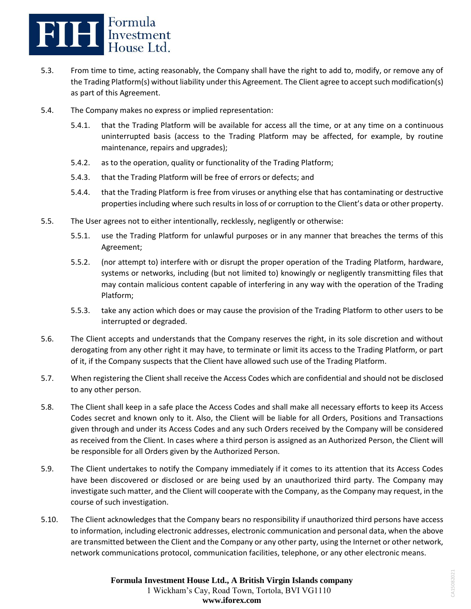

- 5.3. From time to time, acting reasonably, the Company shall have the right to add to, modify, or remove any of the Trading Platform(s) without liability under this Agreement. The Client agree to accept such modification(s) as part of this Agreement.
- 5.4. The Company makes no express or implied representation:
	- 5.4.1. that the Trading Platform will be available for access all the time, or at any time on a continuous uninterrupted basis (access to the Trading Platform may be affected, for example, by routine maintenance, repairs and upgrades);
	- 5.4.2. as to the operation, quality or functionality of the Trading Platform;
	- 5.4.3. that the Trading Platform will be free of errors or defects; and
	- 5.4.4. that the Trading Platform is free from viruses or anything else that has contaminating or destructive properties including where such results in loss of or corruption to the Client's data or other property.
- 5.5. The User agrees not to either intentionally, recklessly, negligently or otherwise:
	- 5.5.1. use the Trading Platform for unlawful purposes or in any manner that breaches the terms of this Agreement;
	- 5.5.2. (nor attempt to) interfere with or disrupt the proper operation of the Trading Platform, hardware, systems or networks, including (but not limited to) knowingly or negligently transmitting files that may contain malicious content capable of interfering in any way with the operation of the Trading Platform;
	- 5.5.3. take any action which does or may cause the provision of the Trading Platform to other users to be interrupted or degraded.
- 5.6. The Client accepts and understands that the Company reserves the right, in its sole discretion and without derogating from any other right it may have, to terminate or limit its access to the Trading Platform, or part of it, if the Company suspects that the Client have allowed such use of the Trading Platform.
- 5.7. When registering the Client shall receive the Access Codes which are confidential and should not be disclosed to any other person.
- 5.8. The Client shall keep in a safe place the Access Codes and shall make all necessary efforts to keep its Access Codes secret and known only to it. Also, the Client will be liable for all Orders, Positions and Transactions given through and under its Access Codes and any such Orders received by the Company will be considered as received from the Client. In cases where a third person is assigned as an Authorized Person, the Client will be responsible for all Orders given by the Authorized Person.
- 5.9. The Client undertakes to notify the Company immediately if it comes to its attention that its Access Codes have been discovered or disclosed or are being used by an unauthorized third party. The Company may investigate such matter, and the Client will cooperate with the Company, as the Company may request, in the course of such investigation.
- 5.10. The Client acknowledges that the Company bears no responsibility if unauthorized third persons have access to information, including electronic addresses, electronic communication and personal data, when the above are transmitted between the Client and the Company or any other party, using the Internet or other network, network communications protocol, communication facilities, telephone, or any other electronic means.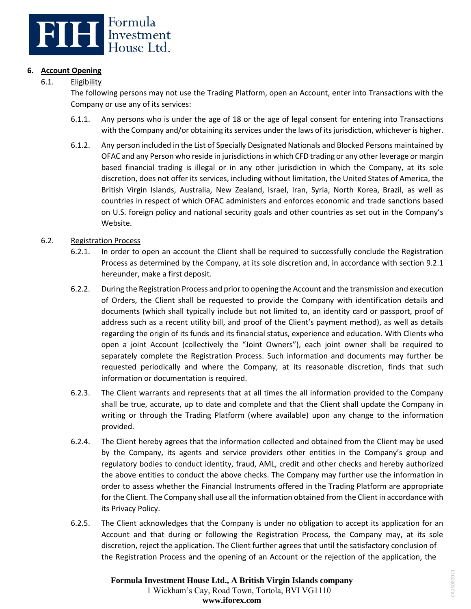

## **6. Account Opening**

6.1. Eligibility

The following persons may not use the Trading Platform, open an Account, enter into Transactions with the Company or use any of its services:

- 6.1.1. Any persons who is under the age of 18 or the age of legal consent for entering into Transactions with the Company and/or obtaining its services under the laws of its jurisdiction, whichever is higher.
- 6.1.2. Any person included in the List of Specially Designated Nationals and Blocked Persons maintained by OFAC and any Person who reside in jurisdictions in which CFD trading or any other leverage or margin based financial trading is illegal or in any other jurisdiction in which the Company, at its sole discretion, does not offer its services, including without limitation, the United States of America, the British Virgin Islands, Australia, New Zealand, Israel, Iran, Syria, North Korea, Brazil, as well as countries in respect of which OFAC administers and enforces economic and trade sanctions based on U.S. foreign policy and national security goals and other countries as set out in the Company's Website.

## 6.2. Registration Process

- 6.2.1. In order to open an account the Client shall be required to successfully conclude the Registration Process as determined by the Company, at its sole discretion and, in accordance with section 9.2.1 hereunder, make a first deposit.
- 6.2.2. During the Registration Process and prior to opening the Account and the transmission and execution of Orders, the Client shall be requested to provide the Company with identification details and documents (which shall typically include but not limited to, an identity card or passport, proof of address such as a recent utility bill, and proof of the Client's payment method), as well as details regarding the origin of its funds and its financial status, experience and education. With Clients who open a joint Account (collectively the "Joint Owners"), each joint owner shall be required to separately complete the Registration Process. Such information and documents may further be requested periodically and where the Company, at its reasonable discretion, finds that such information or documentation is required.
- 6.2.3. The Client warrants and represents that at all times the all information provided to the Company shall be true, accurate, up to date and complete and that the Client shall update the Company in writing or through the Trading Platform (where available) upon any change to the information provided.
- 6.2.4. The Client hereby agrees that the information collected and obtained from the Client may be used by the Company, its agents and service providers other entities in the Company's group and regulatory bodies to conduct identity, fraud, AML, credit and other checks and hereby authorized the above entities to conduct the above checks. The Company may further use the information in order to assess whether the Financial Instruments offered in the Trading Platform are appropriate for the Client. The Company shall use all the information obtained from the Client in accordance with its Privacy Policy.
- 6.2.5. The Client acknowledges that the Company is under no obligation to accept its application for an Account and that during or following the Registration Process, the Company may, at its sole discretion, reject the application. The Client further agrees that until the satisfactory conclusion of the Registration Process and the opening of an Account or the rejection of the application, the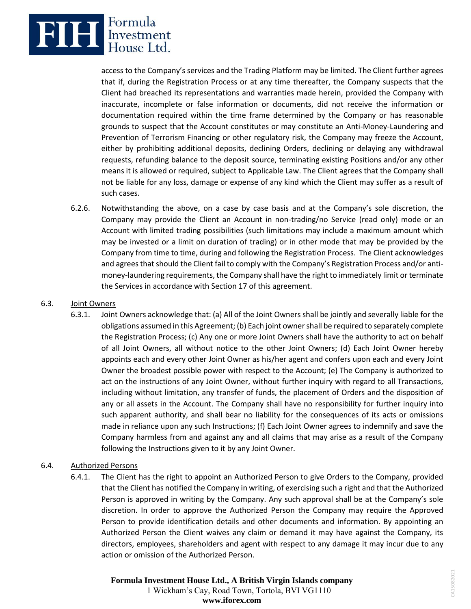

access to the Company's services and the Trading Platform may be limited. The Client further agrees that if, during the Registration Process or at any time thereafter, the Company suspects that the Client had breached its representations and warranties made herein, provided the Company with inaccurate, incomplete or false information or documents, did not receive the information or documentation required within the time frame determined by the Company or has reasonable grounds to suspect that the Account constitutes or may constitute an Anti-Money-Laundering and Prevention of Terrorism Financing or other regulatory risk, the Company may freeze the Account, either by prohibiting additional deposits, declining Orders, declining or delaying any withdrawal requests, refunding balance to the deposit source, terminating existing Positions and/or any other means it is allowed or required, subject to Applicable Law. The Client agrees that the Company shall not be liable for any loss, damage or expense of any kind which the Client may suffer as a result of such cases.

6.2.6. Notwithstanding the above, on a case by case basis and at the Company's sole discretion, the Company may provide the Client an Account in non-trading/no Service (read only) mode or an Account with limited trading possibilities (such limitations may include a maximum amount which may be invested or a limit on duration of trading) or in other mode that may be provided by the Company from time to time, during and following the Registration Process. The Client acknowledges and agrees that should the Client fail to comply with the Company's Registration Process and/or antimoney-laundering requirements, the Company shall have the right to immediately limit or terminate the Services in accordance with Section 17 of this agreement.

### 6.3. Joint Owners

- 6.3.1. Joint Owners acknowledge that: (a) All of the Joint Owners shall be jointly and severally liable for the obligations assumed in this Agreement; (b) Each joint owner shall be required to separately complete the Registration Process; (c) Any one or more Joint Owners shall have the authority to act on behalf of all Joint Owners, all without notice to the other Joint Owners; (d) Each Joint Owner hereby appoints each and every other Joint Owner as his/her agent and confers upon each and every Joint Owner the broadest possible power with respect to the Account; (e) The Company is authorized to act on the instructions of any Joint Owner, without further inquiry with regard to all Transactions, including without limitation, any transfer of funds, the placement of Orders and the disposition of any or all assets in the Account. The Company shall have no responsibility for further inquiry into such apparent authority, and shall bear no liability for the consequences of its acts or omissions made in reliance upon any such Instructions; (f) Each Joint Owner agrees to indemnify and save the Company harmless from and against any and all claims that may arise as a result of the Company following the Instructions given to it by any Joint Owner.
- 6.4. Authorized Persons
	- 6.4.1. The Client has the right to appoint an Authorized Person to give Orders to the Company, provided that the Client has notified the Company in writing, of exercising such a right and that the Authorized Person is approved in writing by the Company. Any such approval shall be at the Company's sole discretion. In order to approve the Authorized Person the Company may require the Approved Person to provide identification details and other documents and information. By appointing an Authorized Person the Client waives any claim or demand it may have against the Company, its directors, employees, shareholders and agent with respect to any damage it may incur due to any action or omission of the Authorized Person.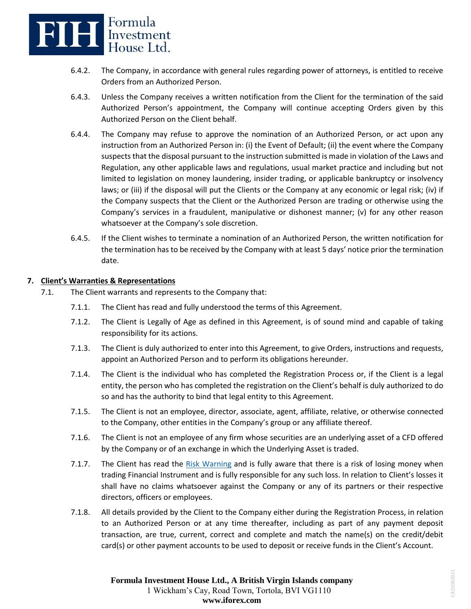

- 6.4.2. The Company, in accordance with general rules regarding power of attorneys, is entitled to receive Orders from an Authorized Person.
- 6.4.3. Unless the Company receives a written notification from the Client for the termination of the said Authorized Person's appointment, the Company will continue accepting Orders given by this Authorized Person on the Client behalf.
- 6.4.4. The Company may refuse to approve the nomination of an Authorized Person, or act upon any instruction from an Authorized Person in: (i) the Event of Default; (ii) the event where the Company suspects that the disposal pursuant to the instruction submitted is made in violation of the Laws and Regulation, any other applicable laws and regulations, usual market practice and including but not limited to legislation on money laundering, insider trading, or applicable bankruptcy or insolvency laws; or (iii) if the disposal will put the Clients or the Company at any economic or legal risk; (iv) if the Company suspects that the Client or the Authorized Person are trading or otherwise using the Company's services in a fraudulent, manipulative or dishonest manner; (v) for any other reason whatsoever at the Company's sole discretion.
- 6.4.5. If the Client wishes to terminate a nomination of an Authorized Person, the written notification for the termination has to be received by the Company with at least 5 days' notice prior the termination date.

## **7. Client's Warranties & Representations**

- 7.1. The Client warrants and represents to the Company that:
	- 7.1.1. The Client has read and fully understood the terms of this Agreement.
	- 7.1.2. The Client is Legally of Age as defined in this Agreement, is of sound mind and capable of taking responsibility for its actions.
	- 7.1.3. The Client is duly authorized to enter into this Agreement, to give Orders, instructions and requests, appoint an Authorized Person and to perform its obligations hereunder.
	- 7.1.4. The Client is the individual who has completed the Registration Process or, if the Client is a legal entity, the person who has completed the registration on the Client's behalf is duly authorized to do so and has the authority to bind that legal entity to this Agreement.
	- 7.1.5. The Client is not an employee, director, associate, agent, affiliate, relative, or otherwise connected to the Company, other entities in the Company's group or any affiliate thereof.
	- 7.1.6. The Client is not an employee of any firm whose securities are an underlying asset of a CFD offered by the Company or of an exchange in which the Underlying Asset is traded.
	- 7.1.7. The Client has read the [Risk Warning](https://www.iforex.in/legal/risk-warning.pdf) and is fully aware that there is a risk of losing money when trading Financial Instrument and is fully responsible for any such loss. In relation to Client's losses it shall have no claims whatsoever against the Company or any of its partners or their respective directors, officers or employees.
	- 7.1.8. All details provided by the Client to the Company either during the Registration Process, in relation to an Authorized Person or at any time thereafter, including as part of any payment deposit transaction, are true, current, correct and complete and match the name(s) on the credit/debit card(s) or other payment accounts to be used to deposit or receive funds in the Client's Account.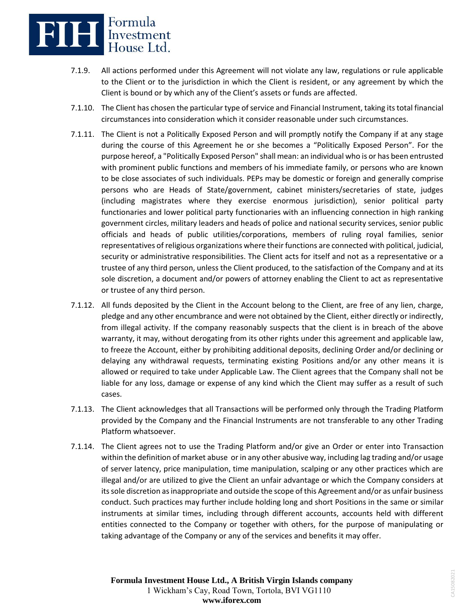

- 7.1.9. All actions performed under this Agreement will not violate any law, regulations or rule applicable to the Client or to the jurisdiction in which the Client is resident, or any agreement by which the Client is bound or by which any of the Client's assets or funds are affected.
- 7.1.10. The Client has chosen the particular type of service and Financial Instrument, taking its total financial circumstances into consideration which it consider reasonable under such circumstances.
- 7.1.11. The Client is not a Politically Exposed Person and will promptly notify the Company if at any stage during the course of this Agreement he or she becomes a "Politically Exposed Person". For the purpose hereof, a "Politically Exposed Person" shall mean: an individual who is or has been entrusted with prominent public functions and members of his immediate family, or persons who are known to be close associates of such individuals. PEPs may be domestic or foreign and generally comprise persons who are Heads of State/government, cabinet ministers/secretaries of state, judges (including magistrates where they exercise enormous jurisdiction), senior political party functionaries and lower political party functionaries with an influencing connection in high ranking government circles, military leaders and heads of police and national security services, senior public officials and heads of public utilities/corporations, members of ruling royal families, senior representatives of religious organizations where their functions are connected with political, judicial, security or administrative responsibilities. The Client acts for itself and not as a representative or a trustee of any third person, unless the Client produced, to the satisfaction of the Company and at its sole discretion, a document and/or powers of attorney enabling the Client to act as representative or trustee of any third person.
- 7.1.12. All funds deposited by the Client in the Account belong to the Client, are free of any lien, charge, pledge and any other encumbrance and were not obtained by the Client, either directly or indirectly, from illegal activity. If the company reasonably suspects that the client is in breach of the above warranty, it may, without derogating from its other rights under this agreement and applicable law, to freeze the Account, either by prohibiting additional deposits, declining Order and/or declining or delaying any withdrawal requests, terminating existing Positions and/or any other means it is allowed or required to take under Applicable Law. The Client agrees that the Company shall not be liable for any loss, damage or expense of any kind which the Client may suffer as a result of such cases.
- 7.1.13. The Client acknowledges that all Transactions will be performed only through the Trading Platform provided by the Company and the Financial Instruments are not transferable to any other Trading Platform whatsoever.
- 7.1.14. The Client agrees not to use the Trading Platform and/or give an Order or enter into Transaction within the definition of market abuse or in any other abusive way, including lag trading and/or usage of server latency, price manipulation, time manipulation, scalping or any other practices which are illegal and/or are utilized to give the Client an unfair advantage or which the Company considers at its sole discretion as inappropriate and outside the scope of this Agreement and/or as unfair business conduct. Such practices may further include holding long and short Positions in the same or similar instruments at similar times, including through different accounts, accounts held with different entities connected to the Company or together with others, for the purpose of manipulating or taking advantage of the Company or any of the services and benefits it may offer.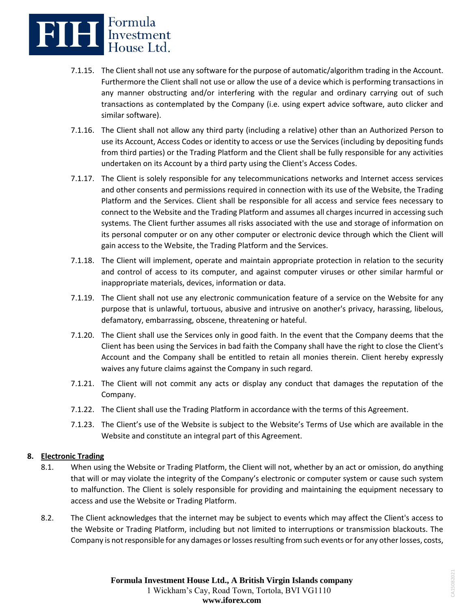

- 7.1.15. The Client shall not use any software for the purpose of automatic/algorithm trading in the Account. Furthermore the Client shall not use or allow the use of a device which is performing transactions in any manner obstructing and/or interfering with the regular and ordinary carrying out of such transactions as contemplated by the Company (i.e. using expert advice software, auto clicker and similar software).
- 7.1.16. The Client shall not allow any third party (including a relative) other than an Authorized Person to use its Account, Access Codes or identity to access or use the Services (including by depositing funds from third parties) or the Trading Platform and the Client shall be fully responsible for any activities undertaken on its Account by a third party using the Client's Access Codes.
- 7.1.17. The Client is solely responsible for any telecommunications networks and Internet access services and other consents and permissions required in connection with its use of the Website, the Trading Platform and the Services. Client shall be responsible for all access and service fees necessary to connect to the Website and the Trading Platform and assumes all charges incurred in accessing such systems. The Client further assumes all risks associated with the use and storage of information on its personal computer or on any other computer or electronic device through which the Client will gain access to the Website, the Trading Platform and the Services.
- 7.1.18. The Client will implement, operate and maintain appropriate protection in relation to the security and control of access to its computer, and against computer viruses or other similar harmful or inappropriate materials, devices, information or data.
- 7.1.19. The Client shall not use any electronic communication feature of a service on the Website for any purpose that is unlawful, tortuous, abusive and intrusive on another's privacy, harassing, libelous, defamatory, embarrassing, obscene, threatening or hateful.
- 7.1.20. The Client shall use the Services only in good faith. In the event that the Company deems that the Client has been using the Services in bad faith the Company shall have the right to close the Client's Account and the Company shall be entitled to retain all monies therein. Client hereby expressly waives any future claims against the Company in such regard.
- 7.1.21. The Client will not commit any acts or display any conduct that damages the reputation of the Company.
- 7.1.22. The Client shall use the Trading Platform in accordance with the terms of this Agreement.
- 7.1.23. The Client's use of the Website is subject to the Website's Terms of Use which are available in the Website and constitute an integral part of this Agreement.

### **8. Electronic Trading**

- 8.1. When using the Website or Trading Platform, the Client will not, whether by an act or omission, do anything that will or may violate the integrity of the Company's electronic or computer system or cause such system to malfunction. The Client is solely responsible for providing and maintaining the equipment necessary to access and use the Website or Trading Platform.
- 8.2. The Client acknowledges that the internet may be subject to events which may affect the Client's access to the Website or Trading Platform, including but not limited to interruptions or transmission blackouts. The Company is not responsible for any damages or losses resulting from such events or for any other losses, costs,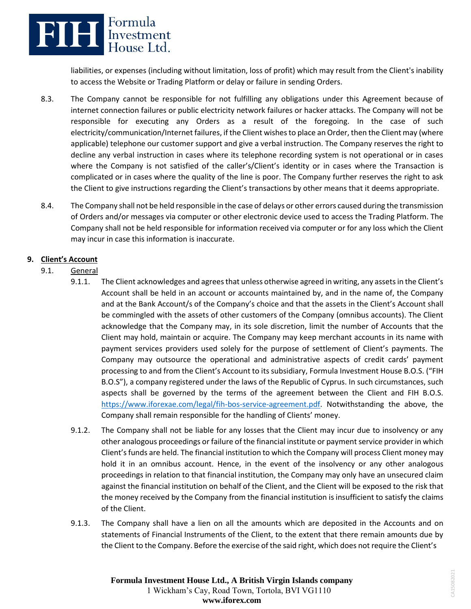## **ELLE** Expressment

liabilities, or expenses (including without limitation, loss of profit) which may result from the Client's inability to access the Website or Trading Platform or delay or failure in sending Orders.

- 8.3. The Company cannot be responsible for not fulfilling any obligations under this Agreement because of internet connection failures or public electricity network failures or hacker attacks. The Company will not be responsible for executing any Orders as a result of the foregoing. In the case of such electricity/communication/Internet failures, if the Client wishes to place an Order, then the Client may (where applicable) telephone our customer support and give a verbal instruction. The Company reserves the right to decline any verbal instruction in cases where its telephone recording system is not operational or in cases where the Company is not satisfied of the caller's/Client's identity or in cases where the Transaction is complicated or in cases where the quality of the line is poor. The Company further reserves the right to ask the Client to give instructions regarding the Client's transactions by other means that it deems appropriate.
- 8.4. The Company shall not be held responsible in the case of delays or other errors caused during the transmission of Orders and/or messages via computer or other electronic device used to access the Trading Platform. The Company shall not be held responsible for information received via computer or for any loss which the Client may incur in case this information is inaccurate.

## **9. Client's Account**

- 9.1. General
	- 9.1.1. The Client acknowledges and agrees that unless otherwise agreed in writing, any assets in the Client's Account shall be held in an account or accounts maintained by, and in the name of, the Company and at the Bank Account/s of the Company's choice and that the assets in the Client's Account shall be commingled with the assets of other customers of the Company (omnibus accounts). The Client acknowledge that the Company may, in its sole discretion, limit the number of Accounts that the Client may hold, maintain or acquire. The Company may keep merchant accounts in its name with payment services providers used solely for the purpose of settlement of Client's payments. The Company may outsource the operational and administrative aspects of credit cards' payment processing to and from the Client's Account to its subsidiary, Formula Investment House B.O.S. ("FIH B.O.S"), a company registered under the laws of the Republic of Cyprus. In such circumstances, such aspects shall be governed by the terms of the agreement between the Client and FIH B.O.S. [https://www.iforexae.com/legal/fih-bos-service-agreement.pdf.](https://www.iforexae.com/legal/fih-bos-service-agreement.pdf) Notwithstanding the above, the Company shall remain responsible for the handling of Clients' money.
	- 9.1.2. The Company shall not be liable for any losses that the Client may incur due to insolvency or any other analogous proceedings or failure of the financial institute or payment service provider in which Client's funds are held. The financial institution to which the Company will process Client money may hold it in an omnibus account. Hence, in the event of the insolvency or any other analogous proceedings in relation to that financial institution, the Company may only have an unsecured claim against the financial institution on behalf of the Client, and the Client will be exposed to the risk that the money received by the Company from the financial institution is insufficient to satisfy the claims of the Client.
	- 9.1.3. The Company shall have a lien on all the amounts which are deposited in the Accounts and on statements of Financial Instruments of the Client, to the extent that there remain amounts due by the Client to the Company. Before the exercise of the said right, which does not require the Client's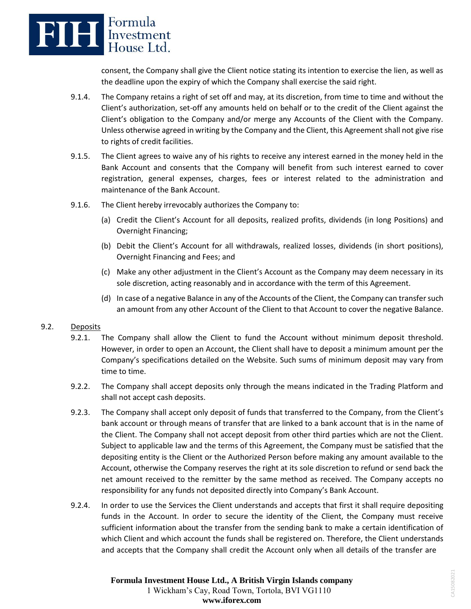

consent, the Company shall give the Client notice stating its intention to exercise the lien, as well as the deadline upon the expiry of which the Company shall exercise the said right.

- 9.1.4. The Company retains a right of set off and may, at its discretion, from time to time and without the Client's authorization, set-off any amounts held on behalf or to the credit of the Client against the Client's obligation to the Company and/or merge any Accounts of the Client with the Company. Unless otherwise agreed in writing by the Company and the Client, this Agreement shall not give rise to rights of credit facilities.
- 9.1.5. The Client agrees to waive any of his rights to receive any interest earned in the money held in the Bank Account and consents that the Company will benefit from such interest earned to cover registration, general expenses, charges, fees or interest related to the administration and maintenance of the Bank Account.
- 9.1.6. The Client hereby irrevocably authorizes the Company to:
	- (a) Credit the Client's Account for all deposits, realized profits, dividends (in long Positions) and Overnight Financing;
	- (b) Debit the Client's Account for all withdrawals, realized losses, dividends (in short positions), Overnight Financing and Fees; and
	- (c) Make any other adjustment in the Client's Account as the Company may deem necessary in its sole discretion, acting reasonably and in accordance with the term of this Agreement.
	- (d) In case of a negative Balance in any of the Accounts of the Client, the Company can transfer such an amount from any other Account of the Client to that Account to cover the negative Balance.

## 9.2. Deposits

- 9.2.1. The Company shall allow the Client to fund the Account without minimum deposit threshold. However, in order to open an Account, the Client shall have to deposit a minimum amount per the Company's specifications detailed on the Website. Such sums of minimum deposit may vary from time to time.
- 9.2.2. The Company shall accept deposits only through the means indicated in the Trading Platform and shall not accept cash deposits.
- 9.2.3. The Company shall accept only deposit of funds that transferred to the Company, from the Client's bank account or through means of transfer that are linked to a bank account that is in the name of the Client. The Company shall not accept deposit from other third parties which are not the Client. Subject to applicable law and the terms of this Agreement, the Company must be satisfied that the depositing entity is the Client or the Authorized Person before making any amount available to the Account, otherwise the Company reserves the right at its sole discretion to refund or send back the net amount received to the remitter by the same method as received. The Company accepts no responsibility for any funds not deposited directly into Company's Bank Account.
- 9.2.4. In order to use the Services the Client understands and accepts that first it shall require depositing funds in the Account. In order to secure the identity of the Client, the Company must receive sufficient information about the transfer from the sending bank to make a certain identification of which Client and which account the funds shall be registered on. Therefore, the Client understands and accepts that the Company shall credit the Account only when all details of the transfer are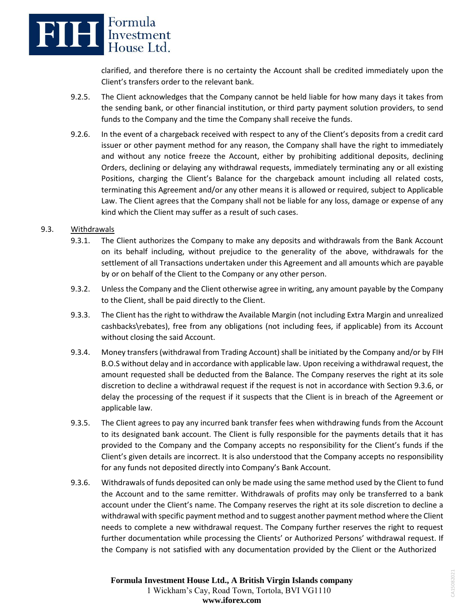

clarified, and therefore there is no certainty the Account shall be credited immediately upon the Client's transfers order to the relevant bank.

- 9.2.5. The Client acknowledges that the Company cannot be held liable for how many days it takes from the sending bank, or other financial institution, or third party payment solution providers, to send funds to the Company and the time the Company shall receive the funds.
- 9.2.6. In the event of a chargeback received with respect to any of the Client's deposits from a credit card issuer or other payment method for any reason, the Company shall have the right to immediately and without any notice freeze the Account, either by prohibiting additional deposits, declining Orders, declining or delaying any withdrawal requests, immediately terminating any or all existing Positions, charging the Client's Balance for the chargeback amount including all related costs, terminating this Agreement and/or any other means it is allowed or required, subject to Applicable Law. The Client agrees that the Company shall not be liable for any loss, damage or expense of any kind which the Client may suffer as a result of such cases.

## 9.3. Withdrawals

- 9.3.1. The Client authorizes the Company to make any deposits and withdrawals from the Bank Account on its behalf including, without prejudice to the generality of the above, withdrawals for the settlement of all Transactions undertaken under this Agreement and all amounts which are payable by or on behalf of the Client to the Company or any other person.
- 9.3.2. Unless the Company and the Client otherwise agree in writing, any amount payable by the Company to the Client, shall be paid directly to the Client.
- 9.3.3. The Client has the right to withdraw the Available Margin (not including Extra Margin and unrealized cashbacks\rebates), free from any obligations (not including fees, if applicable) from its Account without closing the said Account.
- 9.3.4. Money transfers (withdrawal from Trading Account) shall be initiated by the Company and/or by FIH B.O.S without delay and in accordance with applicable law. Upon receiving a withdrawal request, the amount requested shall be deducted from the Balance. The Company reserves the right at its sole discretion to decline a withdrawal request if the request is not in accordance with Section 9.3.6, or delay the processing of the request if it suspects that the Client is in breach of the Agreement or applicable law.
- 9.3.5. The Client agrees to pay any incurred bank transfer fees when withdrawing funds from the Account to its designated bank account. The Client is fully responsible for the payments details that it has provided to the Company and the Company accepts no responsibility for the Client's funds if the Client's given details are incorrect. It is also understood that the Company accepts no responsibility for any funds not deposited directly into Company's Bank Account.
- 9.3.6. Withdrawals of funds deposited can only be made using the same method used by the Client to fund the Account and to the same remitter. Withdrawals of profits may only be transferred to a bank account under the Client's name. The Company reserves the right at its sole discretion to decline a withdrawal with specific payment method and to suggest another payment method where the Client needs to complete a new withdrawal request. The Company further reserves the right to request further documentation while processing the Clients' or Authorized Persons' withdrawal request. If the Company is not satisfied with any documentation provided by the Client or the Authorized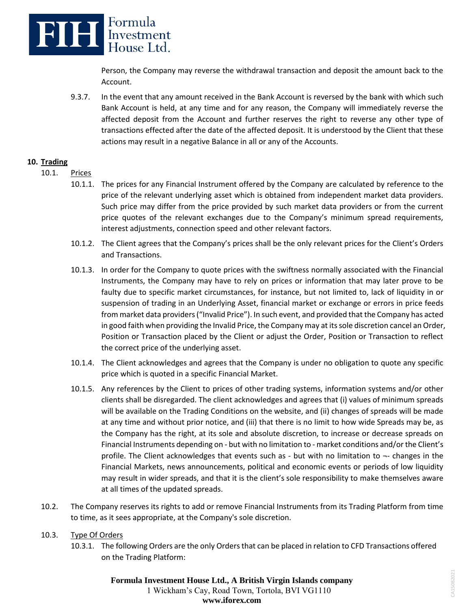

Person, the Company may reverse the withdrawal transaction and deposit the amount back to the Account.

9.3.7. In the event that any amount received in the Bank Account is reversed by the bank with which such Bank Account is held, at any time and for any reason, the Company will immediately reverse the affected deposit from the Account and further reserves the right to reverse any other type of transactions effected after the date of the affected deposit. It is understood by the Client that these actions may result in a negative Balance in all or any of the Accounts.

### **10. Trading**

- 10.1. Prices
	- 10.1.1. The prices for any Financial Instrument offered by the Company are calculated by reference to the price of the relevant underlying asset which is obtained from independent market data providers. Such price may differ from the price provided by such market data providers or from the current price quotes of the relevant exchanges due to the Company's minimum spread requirements, interest adjustments, connection speed and other relevant factors.
	- 10.1.2. The Client agrees that the Company's prices shall be the only relevant prices for the Client's Orders and Transactions.
	- 10.1.3. In order for the Company to quote prices with the swiftness normally associated with the Financial Instruments, the Company may have to rely on prices or information that may later prove to be faulty due to specific market circumstances, for instance, but not limited to, lack of liquidity in or suspension of trading in an Underlying Asset, financial market or exchange or errors in price feeds from market data providers ("Invalid Price"). In such event, and provided that the Company has acted in good faith when providing the Invalid Price, the Company may at its sole discretion cancel an Order, Position or Transaction placed by the Client or adjust the Order, Position or Transaction to reflect the correct price of the underlying asset.
	- 10.1.4. The Client acknowledges and agrees that the Company is under no obligation to quote any specific price which is quoted in a specific Financial Market.
	- 10.1.5. Any references by the Client to prices of other trading systems, information systems and/or other clients shall be disregarded. The client acknowledges and agrees that (i) values of minimum spreads will be available on the Trading Conditions on the website, and (ii) changes of spreads will be made at any time and without prior notice, and (iii) that there is no limit to how wide Spreads may be, as the Company has the right, at its sole and absolute discretion, to increase or decrease spreads on Financial Instruments depending on - but with no limitation to - market conditions and/or the Client's profile. The Client acknowledges that events such as - but with no limitation to ¬- changes in the Financial Markets, news announcements, political and economic events or periods of low liquidity may result in wider spreads, and that it is the client's sole responsibility to make themselves aware at all times of the updated spreads.
- 10.2. The Company reserves its rights to add or remove Financial Instruments from its Trading Platform from time to time, as it sees appropriate, at the Company's sole discretion.

### 10.3. Type Of Orders

10.3.1. The following Orders are the only Orders that can be placed in relation to CFD Transactions offered on the Trading Platform: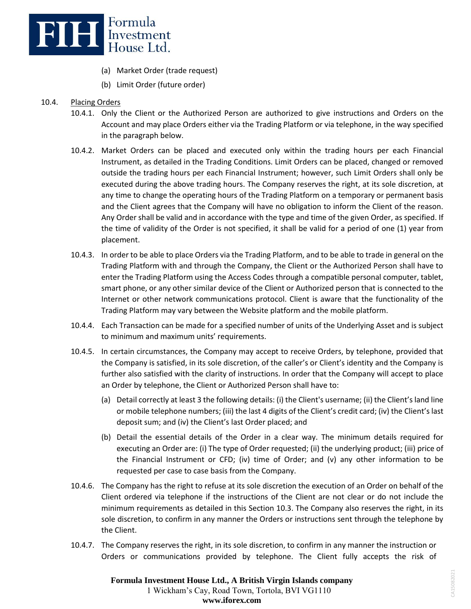

- (a) Market Order (trade request)
- (b) Limit Order (future order)

## 10.4. Placing Orders

- 10.4.1. Only the Client or the Authorized Person are authorized to give instructions and Orders on the Account and may place Orders either via the Trading Platform or via telephone, in the way specified in the paragraph below.
- 10.4.2. Market Orders can be placed and executed only within the trading hours per each Financial Instrument, as detailed in the Trading Conditions. Limit Orders can be placed, changed or removed outside the trading hours per each Financial Instrument; however, such Limit Orders shall only be executed during the above trading hours. The Company reserves the right, at its sole discretion, at any time to change the operating hours of the Trading Platform on a temporary or permanent basis and the Client agrees that the Company will have no obligation to inform the Client of the reason. Any Order shall be valid and in accordance with the type and time of the given Order, as specified. If the time of validity of the Order is not specified, it shall be valid for a period of one (1) year from placement.
- 10.4.3. In order to be able to place Orders via the Trading Platform, and to be able to trade in general on the Trading Platform with and through the Company, the Client or the Authorized Person shall have to enter the Trading Platform using the Access Codes through a compatible personal computer, tablet, smart phone, or any other similar device of the Client or Authorized person that is connected to the Internet or other network communications protocol. Client is aware that the functionality of the Trading Platform may vary between the Website platform and the mobile platform.
- 10.4.4. Each Transaction can be made for a specified number of units of the Underlying Asset and is subject to minimum and maximum units' requirements.
- 10.4.5. In certain circumstances, the Company may accept to receive Orders, by telephone, provided that the Company is satisfied, in its sole discretion, of the caller's or Client's identity and the Company is further also satisfied with the clarity of instructions. In order that the Company will accept to place an Order by telephone, the Client or Authorized Person shall have to:
	- (a) Detail correctly at least 3 the following details: (i) the Client's username; (ii) the Client's land line or mobile telephone numbers; (iii) the last 4 digits of the Client's credit card; (iv) the Client's last deposit sum; and (iv) the Client's last Order placed; and
	- (b) Detail the essential details of the Order in a clear way. The minimum details required for executing an Order are: (i) The type of Order requested; (ii) the underlying product; (iii) price of the Financial Instrument or CFD; (iv) time of Order; and (v) any other information to be requested per case to case basis from the Company.
- 10.4.6. The Company has the right to refuse at its sole discretion the execution of an Order on behalf of the Client ordered via telephone if the instructions of the Client are not clear or do not include the minimum requirements as detailed in this Section 10.3. The Company also reserves the right, in its sole discretion, to confirm in any manner the Orders or instructions sent through the telephone by the Client.
- 10.4.7. The Company reserves the right, in its sole discretion, to confirm in any manner the instruction or Orders or communications provided by telephone. The Client fully accepts the risk of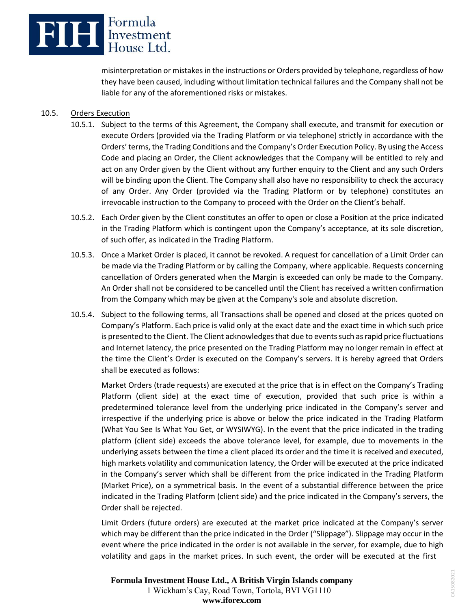

misinterpretation or mistakes in the instructions or Orders provided by telephone, regardless of how they have been caused, including without limitation technical failures and the Company shall not be liable for any of the aforementioned risks or mistakes.

## 10.5. Orders Execution

- 10.5.1. Subject to the terms of this Agreement, the Company shall execute, and transmit for execution or execute Orders (provided via the Trading Platform or via telephone) strictly in accordance with the Orders' terms, the Trading Conditions and the Company's Order Execution Policy. By using the Access Code and placing an Order, the Client acknowledges that the Company will be entitled to rely and act on any Order given by the Client without any further enquiry to the Client and any such Orders will be binding upon the Client. The Company shall also have no responsibility to check the accuracy of any Order. Any Order (provided via the Trading Platform or by telephone) constitutes an irrevocable instruction to the Company to proceed with the Order on the Client's behalf.
- 10.5.2. Each Order given by the Client constitutes an offer to open or close a Position at the price indicated in the Trading Platform which is contingent upon the Company's acceptance, at its sole discretion, of such offer, as indicated in the Trading Platform.
- 10.5.3. Once a Market Order is placed, it cannot be revoked. A request for cancellation of a Limit Order can be made via the Trading Platform or by calling the Company, where applicable. Requests concerning cancellation of Orders generated when the Margin is exceeded can only be made to the Company. An Order shall not be considered to be cancelled until the Client has received a written confirmation from the Company which may be given at the Company's sole and absolute discretion.
- 10.5.4. Subject to the following terms, all Transactions shall be opened and closed at the prices quoted on Company's Platform. Each price is valid only at the exact date and the exact time in which such price is presented to the Client. The Client acknowledges that due to events such as rapid price fluctuations and Internet latency, the price presented on the Trading Platform may no longer remain in effect at the time the Client's Order is executed on the Company's servers. It is hereby agreed that Orders shall be executed as follows:

Market Orders (trade requests) are executed at the price that is in effect on the Company's Trading Platform (client side) at the exact time of execution, provided that such price is within a predetermined tolerance level from the underlying price indicated in the Company's server and irrespective if the underlying price is above or below the price indicated in the Trading Platform (What You See Is What You Get, or WYSIWYG). In the event that the price indicated in the trading platform (client side) exceeds the above tolerance level, for example, due to movements in the underlying assets between the time a client placed its order and the time it is received and executed, high markets volatility and communication latency, the Order will be executed at the price indicated in the Company's server which shall be different from the price indicated in the Trading Platform (Market Price), on a symmetrical basis. In the event of a substantial difference between the price indicated in the Trading Platform (client side) and the price indicated in the Company's servers, the Order shall be rejected.

Limit Orders (future orders) are executed at the market price indicated at the Company's server which may be different than the price indicated in the Order ("Slippage"). Slippage may occur in the event where the price indicated in the order is not available in the server, for example, due to high volatility and gaps in the market prices. In such event, the order will be executed at the first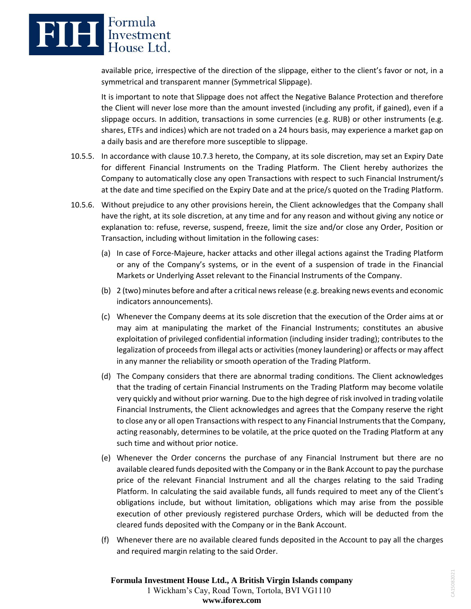

available price, irrespective of the direction of the slippage, either to the client's favor or not, in a symmetrical and transparent manner (Symmetrical Slippage).

It is important to note that Slippage does not affect the Negative Balance Protection and therefore the Client will never lose more than the amount invested (including any profit, if gained), even if a slippage occurs. In addition, transactions in some currencies (e.g. RUB) or other instruments (e.g. shares, ETFs and indices) which are not traded on a 24 hours basis, may experience a market gap on a daily basis and are therefore more susceptible to slippage.

- 10.5.5. In accordance with clause 10.7.3 hereto, the Company, at its sole discretion, may set an Expiry Date for different Financial Instruments on the Trading Platform. The Client hereby authorizes the Company to automatically close any open Transactions with respect to such Financial Instrument/s at the date and time specified on the Expiry Date and at the price/s quoted on the Trading Platform.
- 10.5.6. Without prejudice to any other provisions herein, the Client acknowledges that the Company shall have the right, at its sole discretion, at any time and for any reason and without giving any notice or explanation to: refuse, reverse, suspend, freeze, limit the size and/or close any Order, Position or Transaction, including without limitation in the following cases:
	- (a) In case of Force-Majeure, hacker attacks and other illegal actions against the Trading Platform or any of the Company's systems, or in the event of a suspension of trade in the Financial Markets or Underlying Asset relevant to the Financial Instruments of the Company.
	- (b) 2 (two) minutes before and after a critical news release (e.g. breaking news events and economic indicators announcements).
	- (c) Whenever the Company deems at its sole discretion that the execution of the Order aims at or may aim at manipulating the market of the Financial Instruments; constitutes an abusive exploitation of privileged confidential information (including insider trading); contributes to the legalization of proceeds from illegal acts or activities (money laundering) or affects or may affect in any manner the reliability or smooth operation of the Trading Platform.
	- (d) The Company considers that there are abnormal trading conditions. The Client acknowledges that the trading of certain Financial Instruments on the Trading Platform may become volatile very quickly and without prior warning. Due to the high degree of risk involved in trading volatile Financial Instruments, the Client acknowledges and agrees that the Company reserve the right to close any or all open Transactions with respect to any Financial Instruments that the Company, acting reasonably, determines to be volatile, at the price quoted on the Trading Platform at any such time and without prior notice.
	- (e) Whenever the Order concerns the purchase of any Financial Instrument but there are no available cleared funds deposited with the Company or in the Bank Account to pay the purchase price of the relevant Financial Instrument and all the charges relating to the said Trading Platform. In calculating the said available funds, all funds required to meet any of the Client's obligations include, but without limitation, obligations which may arise from the possible execution of other previously registered purchase Orders, which will be deducted from the cleared funds deposited with the Company or in the Bank Account.
	- (f) Whenever there are no available cleared funds deposited in the Account to pay all the charges and required margin relating to the said Order.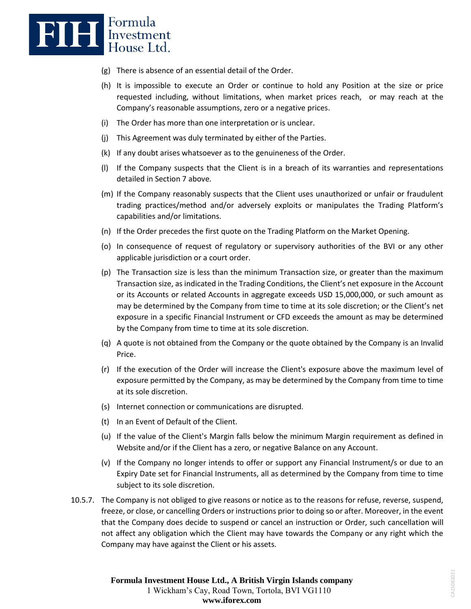

- (g) There is absence of an essential detail of the Order.
- (h) It is impossible to execute an Order or continue to hold any Position at the size or price requested including, without limitations, when market prices reach, or may reach at the Company's reasonable assumptions, zero or a negative prices.
- (i) The Order has more than one interpretation or is unclear.
- (j) This Agreement was duly terminated by either of the Parties.
- (k) If any doubt arises whatsoever as to the genuineness of the Order.
- (l) If the Company suspects that the Client is in a breach of its warranties and representations detailed in Section 7 above.
- (m) If the Company reasonably suspects that the Client uses unauthorized or unfair or fraudulent trading practices/method and/or adversely exploits or manipulates the Trading Platform's capabilities and/or limitations.
- (n) If the Order precedes the first quote on the Trading Platform on the Market Opening.
- (o) In consequence of request of regulatory or supervisory authorities of the BVI or any other applicable jurisdiction or a court order.
- (p) The Transaction size is less than the minimum Transaction size, or greater than the maximum Transaction size, as indicated in the Trading Conditions, the Client's net exposure in the Account or its Accounts or related Accounts in aggregate exceeds USD 15,000,000, or such amount as may be determined by the Company from time to time at its sole discretion; or the Client's net exposure in a specific Financial Instrument or CFD exceeds the amount as may be determined by the Company from time to time at its sole discretion.
- (q) A quote is not obtained from the Company or the quote obtained by the Company is an Invalid Price.
- (r) If the execution of the Order will increase the Client's exposure above the maximum level of exposure permitted by the Company, as may be determined by the Company from time to time at its sole discretion.
- (s) Internet connection or communications are disrupted.
- (t) In an Event of Default of the Client.
- (u) If the value of the Client's Margin falls below the minimum Margin requirement as defined in Website and/or if the Client has a zero, or negative Balance on any Account.
- (v) If the Company no longer intends to offer or support any Financial Instrument/s or due to an Expiry Date set for Financial Instruments, all as determined by the Company from time to time subject to its sole discretion.
- 10.5.7. The Company is not obliged to give reasons or notice as to the reasons for refuse, reverse, suspend, freeze, or close, or cancelling Orders or instructions prior to doing so or after. Moreover, in the event that the Company does decide to suspend or cancel an instruction or Order, such cancellation will not affect any obligation which the Client may have towards the Company or any right which the Company may have against the Client or his assets.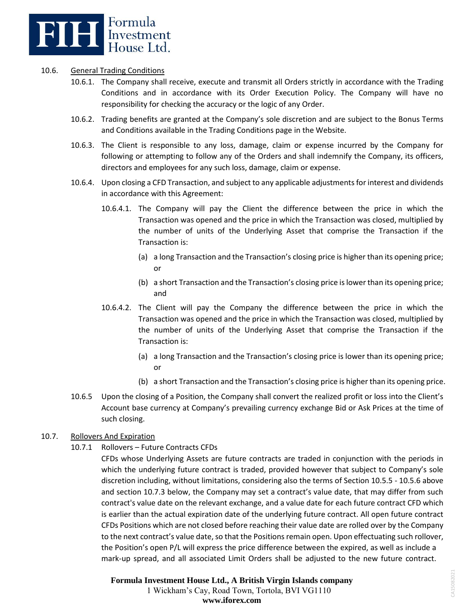

### 10.6. General Trading Conditions

- 10.6.1. The Company shall receive, execute and transmit all Orders strictly in accordance with the Trading Conditions and in accordance with its Order Execution Policy. The Company will have no responsibility for checking the accuracy or the logic of any Order.
- 10.6.2. Trading benefits are granted at the Company's sole discretion and are subject to the Bonus Terms and Conditions available in the Trading Conditions page in the Website.
- 10.6.3. The Client is responsible to any loss, damage, claim or expense incurred by the Company for following or attempting to follow any of the Orders and shall indemnify the Company, its officers, directors and employees for any such loss, damage, claim or expense.
- 10.6.4. Upon closing a CFD Transaction, and subject to any applicable adjustments for interest and dividends in accordance with this Agreement:
	- 10.6.4.1. The Company will pay the Client the difference between the price in which the Transaction was opened and the price in which the Transaction was closed, multiplied by the number of units of the Underlying Asset that comprise the Transaction if the Transaction is:
		- (a) a long Transaction and the Transaction's closing price is higher than its opening price; or
		- (b) a short Transaction and the Transaction's closing price is lower than its opening price; and
	- 10.6.4.2. The Client will pay the Company the difference between the price in which the Transaction was opened and the price in which the Transaction was closed, multiplied by the number of units of the Underlying Asset that comprise the Transaction if the Transaction is:
		- (a) a long Transaction and the Transaction's closing price is lower than its opening price; or
		- (b) a short Transaction and the Transaction's closing price is higher than its opening price.
- 10.6.5 Upon the closing of a Position, the Company shall convert the realized profit or loss into the Client's Account base currency at Company's prevailing currency exchange Bid or Ask Prices at the time of such closing.

### 10.7. Rollovers And Expiration

10.7.1 Rollovers – Future Contracts CFDs

CFDs whose Underlying Assets are future contracts are traded in conjunction with the periods in which the underlying future contract is traded, provided however that subject to Company's sole discretion including, without limitations, considering also the terms of Section 10.5.5 - 10.5.6 above and section 10.7.3 below, the Company may set a contract's value date, that may differ from such contract's value date on the relevant exchange, and a value date for each future contract CFD which is earlier than the actual expiration date of the underlying future contract. All open future contract CFDs Positions which are not closed before reaching their value date are rolled over by the Company to the next contract's value date, so that the Positions remain open. Upon effectuating such rollover, the Position's open P/L will express the price difference between the expired, as well as include a mark-up spread, and all associated Limit Orders shall be adjusted to the new future contract.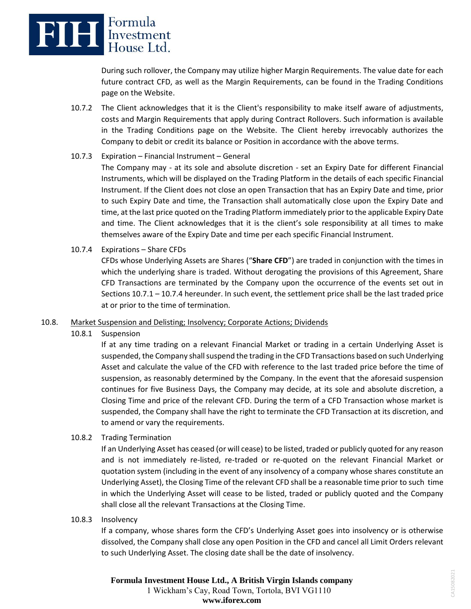

During such rollover, the Company may utilize higher Margin Requirements. The value date for each future contract CFD, as well as the Margin Requirements, can be found in the Trading Conditions page on the Website.

10.7.2 The Client acknowledges that it is the Client's responsibility to make itself aware of adjustments, costs and Margin Requirements that apply during Contract Rollovers. Such information is available in the Trading Conditions page on the Website. The Client hereby irrevocably authorizes the Company to debit or credit its balance or Position in accordance with the above terms.

## 10.7.3 Expiration – Financial Instrument – General

The Company may - at its sole and absolute discretion - set an Expiry Date for different Financial Instruments, which will be displayed on the Trading Platform in the details of each specific Financial Instrument. If the Client does not close an open Transaction that has an Expiry Date and time, prior to such Expiry Date and time, the Transaction shall automatically close upon the Expiry Date and time, at the last price quoted on the Trading Platform immediately prior to the applicable Expiry Date and time. The Client acknowledges that it is the client's sole responsibility at all times to make themselves aware of the Expiry Date and time per each specific Financial Instrument.

10.7.4 Expirations – Share CFDs

CFDs whose Underlying Assets are Shares ("**Share CFD**") are traded in conjunction with the times in which the underlying share is traded. Without derogating the provisions of this Agreement, Share CFD Transactions are terminated by the Company upon the occurrence of the events set out in Sections 10.7.1 – 10.7.4 hereunder. In such event, the settlement price shall be the last traded price at or prior to the time of termination.

### 10.8. Market Suspension and Delisting; Insolvency; Corporate Actions; Dividends

10.8.1 Suspension

If at any time trading on a relevant Financial Market or trading in a certain Underlying Asset is suspended, the Company shall suspend the trading in the CFD Transactions based on such Underlying Asset and calculate the value of the CFD with reference to the last traded price before the time of suspension, as reasonably determined by the Company. In the event that the aforesaid suspension continues for five Business Days, the Company may decide, at its sole and absolute discretion, a Closing Time and price of the relevant CFD. During the term of a CFD Transaction whose market is suspended, the Company shall have the right to terminate the CFD Transaction at its discretion, and to amend or vary the requirements.

10.8.2 Trading Termination

If an Underlying Asset has ceased (or will cease) to be listed, traded or publicly quoted for any reason and is not immediately re-listed, re-traded or re-quoted on the relevant Financial Market or quotation system (including in the event of any insolvency of a company whose shares constitute an Underlying Asset), the Closing Time of the relevant CFD shall be a reasonable time prior to such time in which the Underlying Asset will cease to be listed, traded or publicly quoted and the Company shall close all the relevant Transactions at the Closing Time.

10.8.3 Insolvency

If a company, whose shares form the CFD's Underlying Asset goes into insolvency or is otherwise dissolved, the Company shall close any open Position in the CFD and cancel all Limit Orders relevant to such Underlying Asset. The closing date shall be the date of insolvency.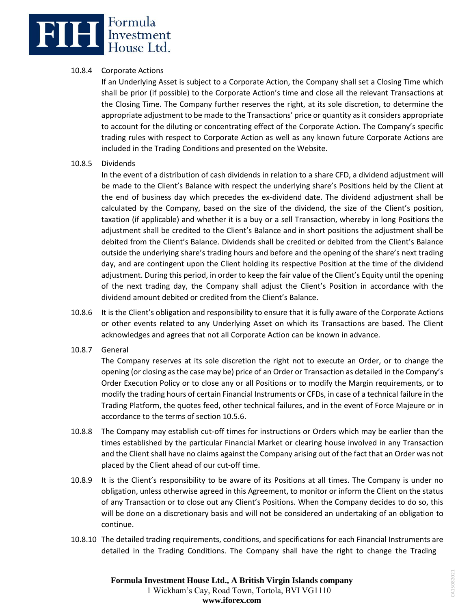## **BILE** Expressment

## 10.8.4 Corporate Actions

If an Underlying Asset is subject to a Corporate Action, the Company shall set a Closing Time which shall be prior (if possible) to the Corporate Action's time and close all the relevant Transactions at the Closing Time. The Company further reserves the right, at its sole discretion, to determine the appropriate adjustment to be made to the Transactions' price or quantity as it considers appropriate to account for the diluting or concentrating effect of the Corporate Action. The Company's specific trading rules with respect to Corporate Action as well as any known future Corporate Actions are included in the Trading Conditions and presented on the Website.

### 10.8.5 Dividends

In the event of a distribution of cash dividends in relation to a share CFD, a dividend adjustment will be made to the Client's Balance with respect the underlying share's Positions held by the Client at the end of business day which precedes the ex-dividend date. The dividend adjustment shall be calculated by the Company, based on the size of the dividend, the size of the Client's position, taxation (if applicable) and whether it is a buy or a sell Transaction, whereby in long Positions the adjustment shall be credited to the Client's Balance and in short positions the adjustment shall be debited from the Client's Balance. Dividends shall be credited or debited from the Client's Balance outside the underlying share's trading hours and before and the opening of the share's next trading day, and are contingent upon the Client holding its respective Position at the time of the dividend adjustment. During this period, in order to keep the fair value of the Client's Equity until the opening of the next trading day, the Company shall adjust the Client's Position in accordance with the dividend amount debited or credited from the Client's Balance.

- 10.8.6 It is the Client's obligation and responsibility to ensure that it is fully aware of the Corporate Actions or other events related to any Underlying Asset on which its Transactions are based. The Client acknowledges and agrees that not all Corporate Action can be known in advance.
- 10.8.7 General

The Company reserves at its sole discretion the right not to execute an Order, or to change the opening (or closing as the case may be) price of an Order or Transaction as detailed in the Company's Order Execution Policy or to close any or all Positions or to modify the Margin requirements, or to modify the trading hours of certain Financial Instruments or CFDs, in case of a technical failure in the Trading Platform, the quotes feed, other technical failures, and in the event of Force Majeure or in accordance to the terms of section 10.5.6.

- 10.8.8 The Company may establish cut-off times for instructions or Orders which may be earlier than the times established by the particular Financial Market or clearing house involved in any Transaction and the Client shall have no claims against the Company arising out of the fact that an Order was not placed by the Client ahead of our cut-off time.
- 10.8.9 It is the Client's responsibility to be aware of its Positions at all times. The Company is under no obligation, unless otherwise agreed in this Agreement, to monitor or inform the Client on the status of any Transaction or to close out any Client's Positions. When the Company decides to do so, this will be done on a discretionary basis and will not be considered an undertaking of an obligation to continue.
- 10.8.10 The detailed trading requirements, conditions, and specifications for each Financial Instruments are detailed in the Trading Conditions. The Company shall have the right to change the Trading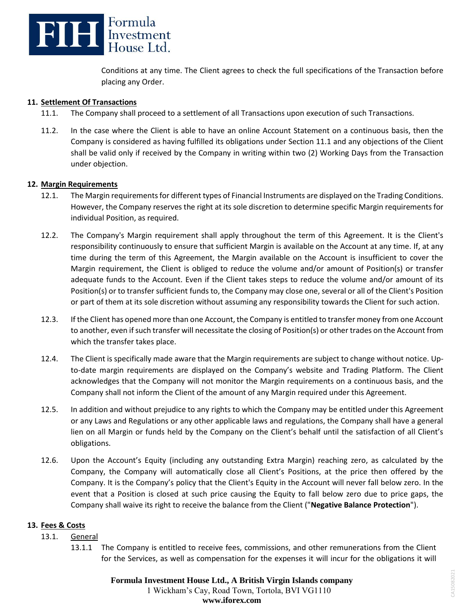

Conditions at any time. The Client agrees to check the full specifications of the Transaction before placing any Order.

### **11. Settlement Of Transactions**

- 11.1. The Company shall proceed to a settlement of all Transactions upon execution of such Transactions.
- 11.2. In the case where the Client is able to have an online Account Statement on a continuous basis, then the Company is considered as having fulfilled its obligations under Section 11.1 and any objections of the Client shall be valid only if received by the Company in writing within two (2) Working Days from the Transaction under objection.

### **12. Margin Requirements**

- 12.1. The Margin requirements for different types of Financial Instruments are displayed on the Trading Conditions. However, the Company reserves the right at its sole discretion to determine specific Margin requirements for individual Position, as required.
- 12.2. The Company's Margin requirement shall apply throughout the term of this Agreement. It is the Client's responsibility continuously to ensure that sufficient Margin is available on the Account at any time. If, at any time during the term of this Agreement, the Margin available on the Account is insufficient to cover the Margin requirement, the Client is obliged to reduce the volume and/or amount of Position(s) or transfer adequate funds to the Account. Even if the Client takes steps to reduce the volume and/or amount of its Position(s) or to transfer sufficient funds to, the Company may close one, several or all of the Client's Position or part of them at its sole discretion without assuming any responsibility towards the Client for such action.
- 12.3. If the Client has opened more than one Account, the Company is entitled to transfer money from one Account to another, even if such transfer will necessitate the closing of Position(s) or other trades on the Account from which the transfer takes place.
- 12.4. The Client is specifically made aware that the Margin requirements are subject to change without notice. Upto-date margin requirements are displayed on the Company's website and Trading Platform. The Client acknowledges that the Company will not monitor the Margin requirements on a continuous basis, and the Company shall not inform the Client of the amount of any Margin required under this Agreement.
- 12.5. In addition and without prejudice to any rights to which the Company may be entitled under this Agreement or any Laws and Regulations or any other applicable laws and regulations, the Company shall have a general lien on all Margin or funds held by the Company on the Client's behalf until the satisfaction of all Client's obligations.
- 12.6. Upon the Account's Equity (including any outstanding Extra Margin) reaching zero, as calculated by the Company, the Company will automatically close all Client's Positions, at the price then offered by the Company. It is the Company's policy that the Client's Equity in the Account will never fall below zero. In the event that a Position is closed at such price causing the Equity to fall below zero due to price gaps, the Company shall waive its right to receive the balance from the Client ("**Negative Balance Protection**").

### **13. Fees & Costs**

### 13.1. General

13.1.1 The Company is entitled to receive fees, commissions, and other remunerations from the Client for the Services, as well as compensation for the expenses it will incur for the obligations it will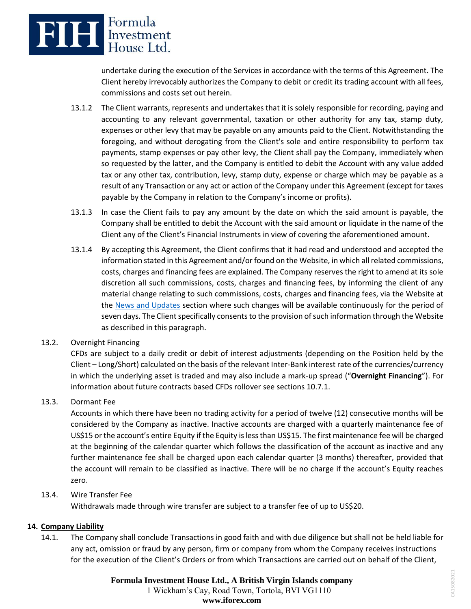

undertake during the execution of the Services in accordance with the terms of this Agreement. The Client hereby irrevocably authorizes the Company to debit or credit its trading account with all fees, commissions and costs set out herein.

- 13.1.2 The Client warrants, represents and undertakes that it is solely responsible for recording, paying and accounting to any relevant governmental, taxation or other authority for any tax, stamp duty, expenses or other levy that may be payable on any amounts paid to the Client. Notwithstanding the foregoing, and without derogating from the Client's sole and entire responsibility to perform tax payments, stamp expenses or pay other levy, the Client shall pay the Company, immediately when so requested by the latter, and the Company is entitled to debit the Account with any value added tax or any other tax, contribution, levy, stamp duty, expense or charge which may be payable as a result of any Transaction or any act or action of the Company under this Agreement (except for taxes payable by the Company in relation to the Company's income or profits).
- 13.1.3 In case the Client fails to pay any amount by the date on which the said amount is payable, the Company shall be entitled to debit the Account with the said amount or liquidate in the name of the Client any of the Client's Financial Instruments in view of covering the aforementioned amount.
- 13.1.4 By accepting this Agreement, the Client confirms that it had read and understood and accepted the information stated in this Agreement and/or found on the Website, in which all related commissions, costs, charges and financing fees are explained. The Company reserves the right to amend at its sole discretion all such commissions, costs, charges and financing fees, by informing the client of any material change relating to such commissions, costs, charges and financing fees, via the Website at the [News and Updates](https://www.iforex.in/news-and-updates) section where such changes will be available continuously for the period of seven days. The Client specifically consents to the provision of such information through the Website as described in this paragraph.
- 13.2. Overnight Financing

CFDs are subject to a daily credit or debit of interest adjustments (depending on the Position held by the Client – Long/Short) calculated on the basis of the relevant Inter-Bank interest rate of the currencies/currency in which the underlying asset is traded and may also include a mark-up spread ("**Overnight Financing**"). For information about future contracts based CFDs rollover see sections 10.7.1.

## 13.3. Dormant Fee

Accounts in which there have been no trading activity for a period of twelve (12) consecutive months will be considered by the Company as inactive. Inactive accounts are charged with a quarterly maintenance fee of US\$15 or the account's entire Equity if the Equity is less than US\$15. The first maintenance fee will be charged at the beginning of the calendar quarter which follows the classification of the account as inactive and any further maintenance fee shall be charged upon each calendar quarter (3 months) thereafter, provided that the account will remain to be classified as inactive. There will be no charge if the account's Equity reaches zero.

## 13.4. Wire Transfer Fee

Withdrawals made through wire transfer are subject to a transfer fee of up to US\$20.

## **14. Company Liability**

14.1. The Company shall conclude Transactions in good faith and with due diligence but shall not be held liable for any act, omission or fraud by any person, firm or company from whom the Company receives instructions for the execution of the Client's Orders or from which Transactions are carried out on behalf of the Client,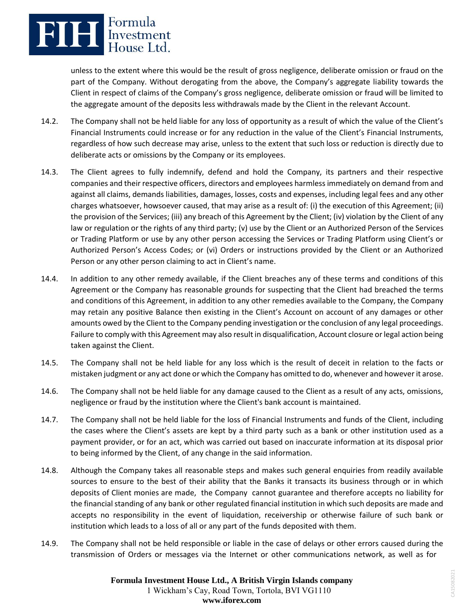

unless to the extent where this would be the result of gross negligence, deliberate omission or fraud on the part of the Company. Without derogating from the above, the Company's aggregate liability towards the Client in respect of claims of the Company's gross negligence, deliberate omission or fraud will be limited to the aggregate amount of the deposits less withdrawals made by the Client in the relevant Account.

- 14.2. The Company shall not be held liable for any loss of opportunity as a result of which the value of the Client's Financial Instruments could increase or for any reduction in the value of the Client's Financial Instruments, regardless of how such decrease may arise, unless to the extent that such loss or reduction is directly due to deliberate acts or omissions by the Company or its employees.
- 14.3. The Client agrees to fully indemnify, defend and hold the Company, its partners and their respective companies and their respective officers, directors and employees harmless immediately on demand from and against all claims, demands liabilities, damages, losses, costs and expenses, including legal fees and any other charges whatsoever, howsoever caused, that may arise as a result of: (i) the execution of this Agreement; (ii) the provision of the Services; (iii) any breach of this Agreement by the Client; (iv) violation by the Client of any law or regulation or the rights of any third party; (v) use by the Client or an Authorized Person of the Services or Trading Platform or use by any other person accessing the Services or Trading Platform using Client's or Authorized Person's Access Codes; or (vi) Orders or instructions provided by the Client or an Authorized Person or any other person claiming to act in Client's name.
- 14.4. In addition to any other remedy available, if the Client breaches any of these terms and conditions of this Agreement or the Company has reasonable grounds for suspecting that the Client had breached the terms and conditions of this Agreement, in addition to any other remedies available to the Company, the Company may retain any positive Balance then existing in the Client's Account on account of any damages or other amounts owed by the Client to the Company pending investigation or the conclusion of any legal proceedings. Failure to comply with this Agreement may also result in disqualification, Account closure or legal action being taken against the Client.
- 14.5. The Company shall not be held liable for any loss which is the result of deceit in relation to the facts or mistaken judgment or any act done or which the Company has omitted to do, whenever and however it arose.
- 14.6. The Company shall not be held liable for any damage caused to the Client as a result of any acts, omissions, negligence or fraud by the institution where the Client's bank account is maintained.
- 14.7. The Company shall not be held liable for the loss of Financial Instruments and funds of the Client, including the cases where the Client's assets are kept by a third party such as a bank or other institution used as a payment provider, or for an act, which was carried out based on inaccurate information at its disposal prior to being informed by the Client, of any change in the said information.
- 14.8. Although the Company takes all reasonable steps and makes such general enquiries from readily available sources to ensure to the best of their ability that the Banks it transacts its business through or in which deposits of Client monies are made, the Company cannot guarantee and therefore accepts no liability for the financial standing of any bank or other regulated financial institution in which such deposits are made and accepts no responsibility in the event of liquidation, receivership or otherwise failure of such bank or institution which leads to a loss of all or any part of the funds deposited with them.
- 14.9. The Company shall not be held responsible or liable in the case of delays or other errors caused during the transmission of Orders or messages via the Internet or other communications network, as well as for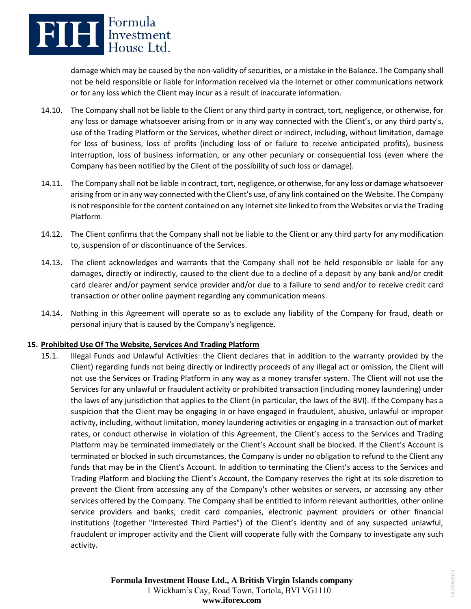

damage which may be caused by the non-validity of securities, or a mistake in the Balance. The Company shall not be held responsible or liable for information received via the Internet or other communications network or for any loss which the Client may incur as a result of inaccurate information.

- 14.10. The Company shall not be liable to the Client or any third party in contract, tort, negligence, or otherwise, for any loss or damage whatsoever arising from or in any way connected with the Client's, or any third party's, use of the Trading Platform or the Services, whether direct or indirect, including, without limitation, damage for loss of business, loss of profits (including loss of or failure to receive anticipated profits), business interruption, loss of business information, or any other pecuniary or consequential loss (even where the Company has been notified by the Client of the possibility of such loss or damage).
- 14.11. The Company shall not be liable in contract, tort, negligence, or otherwise, for any loss or damage whatsoever arising from or in any way connected with the Client's use, of any link contained on the Website. The Company is not responsible for the content contained on any Internet site linked to from the Websites or via the Trading Platform.
- 14.12. The Client confirms that the Company shall not be liable to the Client or any third party for any modification to, suspension of or discontinuance of the Services.
- 14.13. The client acknowledges and warrants that the Company shall not be held responsible or liable for any damages, directly or indirectly, caused to the client due to a decline of a deposit by any bank and/or credit card clearer and/or payment service provider and/or due to a failure to send and/or to receive credit card transaction or other online payment regarding any communication means.
- 14.14. Nothing in this Agreement will operate so as to exclude any liability of the Company for fraud, death or personal injury that is caused by the Company's negligence.

## **15. Prohibited Use Of The Website, Services And Trading Platform**

15.1. Illegal Funds and Unlawful Activities: the Client declares that in addition to the warranty provided by the Client) regarding funds not being directly or indirectly proceeds of any illegal act or omission, the Client will not use the Services or Trading Platform in any way as a money transfer system. The Client will not use the Services for any unlawful or fraudulent activity or prohibited transaction (including money laundering) under the laws of any jurisdiction that applies to the Client (in particular, the laws of the BVI). If the Company has a suspicion that the Client may be engaging in or have engaged in fraudulent, abusive, unlawful or improper activity, including, without limitation, money laundering activities or engaging in a transaction out of market rates, or conduct otherwise in violation of this Agreement, the Client's access to the Services and Trading Platform may be terminated immediately or the Client's Account shall be blocked. If the Client's Account is terminated or blocked in such circumstances, the Company is under no obligation to refund to the Client any funds that may be in the Client's Account. In addition to terminating the Client's access to the Services and Trading Platform and blocking the Client's Account, the Company reserves the right at its sole discretion to prevent the Client from accessing any of the Company's other websites or servers, or accessing any other services offered by the Company. The Company shall be entitled to inform relevant authorities, other online service providers and banks, credit card companies, electronic payment providers or other financial institutions (together "Interested Third Parties") of the Client's identity and of any suspected unlawful, fraudulent or improper activity and the Client will cooperate fully with the Company to investigate any such activity.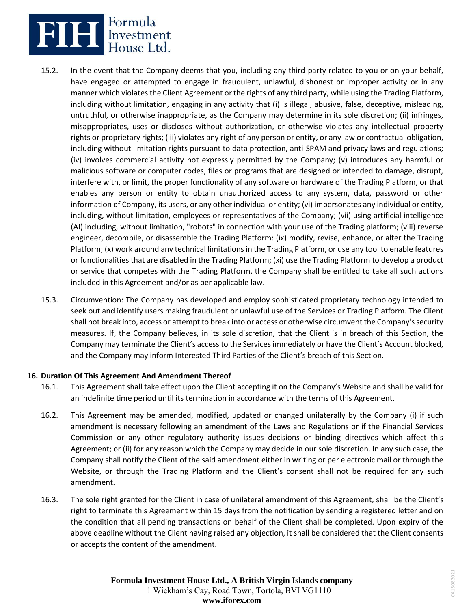

- 15.2. In the event that the Company deems that you, including any third-party related to you or on your behalf, have engaged or attempted to engage in fraudulent, unlawful, dishonest or improper activity or in any manner which violates the Client Agreement or the rights of any third party, while using the Trading Platform, including without limitation, engaging in any activity that (i) is illegal, abusive, false, deceptive, misleading, untruthful, or otherwise inappropriate, as the Company may determine in its sole discretion; (ii) infringes, misappropriates, uses or discloses without authorization, or otherwise violates any intellectual property rights or proprietary rights; (iii) violates any right of any person or entity, or any law or contractual obligation, including without limitation rights pursuant to data protection, anti-SPAM and privacy laws and regulations; (iv) involves commercial activity not expressly permitted by the Company; (v) introduces any harmful or malicious software or computer codes, files or programs that are designed or intended to damage, disrupt, interfere with, or limit, the proper functionality of any software or hardware of the Trading Platform, or that enables any person or entity to obtain unauthorized access to any system, data, password or other information of Company, its users, or any other individual or entity; (vi) impersonates any individual or entity, including, without limitation, employees or representatives of the Company; (vii) using artificial intelligence (AI) including, without limitation, "robots" in connection with your use of the Trading platform; (viii) reverse engineer, decompile, or disassemble the Trading Platform: (ix) modify, revise, enhance, or alter the Trading Platform; (x) work around any technical limitations in the Trading Platform, or use any tool to enable features or functionalities that are disabled in the Trading Platform; (xi) use the Trading Platform to develop a product or service that competes with the Trading Platform, the Company shall be entitled to take all such actions included in this Agreement and/or as per applicable law.
- 15.3. Circumvention: The Company has developed and employ sophisticated proprietary technology intended to seek out and identify users making fraudulent or unlawful use of the Services or Trading Platform. The Client shall not break into, access or attempt to break into or access or otherwise circumvent the Company's security measures. If, the Company believes, in its sole discretion, that the Client is in breach of this Section, the Company may terminate the Client's access to the Services immediately or have the Client's Account blocked, and the Company may inform Interested Third Parties of the Client's breach of this Section.

### **16. Duration Of This Agreement And Amendment Thereof**

- 16.1. This Agreement shall take effect upon the Client accepting it on the Company's Website and shall be valid for an indefinite time period until its termination in accordance with the terms of this Agreement.
- 16.2. This Agreement may be amended, modified, updated or changed unilaterally by the Company (i) if such amendment is necessary following an amendment of the Laws and Regulations or if the Financial Services Commission or any other regulatory authority issues decisions or binding directives which affect this Agreement; or (ii) for any reason which the Company may decide in our sole discretion. In any such case, the Company shall notify the Client of the said amendment either in writing or per electronic mail or through the Website, or through the Trading Platform and the Client's consent shall not be required for any such amendment.
- 16.3. The sole right granted for the Client in case of unilateral amendment of this Agreement, shall be the Client's right to terminate this Agreement within 15 days from the notification by sending a registered letter and on the condition that all pending transactions on behalf of the Client shall be completed. Upon expiry of the above deadline without the Client having raised any objection, it shall be considered that the Client consents or accepts the content of the amendment.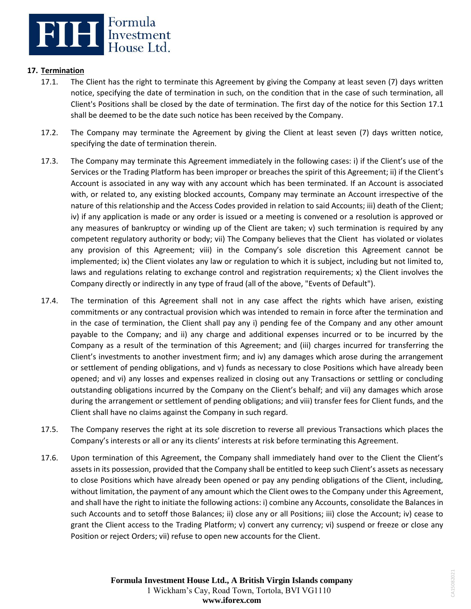

## **17. Termination**

- 17.1. The Client has the right to terminate this Agreement by giving the Company at least seven (7) days written notice, specifying the date of termination in such, on the condition that in the case of such termination, all Client's Positions shall be closed by the date of termination. The first day of the notice for this Section 17.1 shall be deemed to be the date such notice has been received by the Company.
- 17.2. The Company may terminate the Agreement by giving the Client at least seven (7) days written notice, specifying the date of termination therein.
- 17.3. The Company may terminate this Agreement immediately in the following cases: i) if the Client's use of the Services or the Trading Platform has been improper or breaches the spirit of this Agreement; ii) if the Client's Account is associated in any way with any account which has been terminated. If an Account is associated with, or related to, any existing blocked accounts, Company may terminate an Account irrespective of the nature of this relationship and the Access Codes provided in relation to said Accounts; iii) death of the Client; iv) if any application is made or any order is issued or a meeting is convened or a resolution is approved or any measures of bankruptcy or winding up of the Client are taken; v) such termination is required by any competent regulatory authority or body; vii) The Company believes that the Client has violated or violates any provision of this Agreement; viii) in the Company's sole discretion this Agreement cannot be implemented; ix) the Client violates any law or regulation to which it is subject, including but not limited to, laws and regulations relating to exchange control and registration requirements; x) the Client involves the Company directly or indirectly in any type of fraud (all of the above, "Events of Default").
- 17.4. The termination of this Agreement shall not in any case affect the rights which have arisen, existing commitments or any contractual provision which was intended to remain in force after the termination and in the case of termination, the Client shall pay any i) pending fee of the Company and any other amount payable to the Company; and ii) any charge and additional expenses incurred or to be incurred by the Company as a result of the termination of this Agreement; and (iii) charges incurred for transferring the Client's investments to another investment firm; and iv) any damages which arose during the arrangement or settlement of pending obligations, and v) funds as necessary to close Positions which have already been opened; and vi) any losses and expenses realized in closing out any Transactions or settling or concluding outstanding obligations incurred by the Company on the Client's behalf; and vii) any damages which arose during the arrangement or settlement of pending obligations; and viii) transfer fees for Client funds, and the Client shall have no claims against the Company in such regard.
- 17.5. The Company reserves the right at its sole discretion to reverse all previous Transactions which places the Company's interests or all or any its clients' interests at risk before terminating this Agreement.
- 17.6. Upon termination of this Agreement, the Company shall immediately hand over to the Client the Client's assets in its possession, provided that the Company shall be entitled to keep such Client's assets as necessary to close Positions which have already been opened or pay any pending obligations of the Client, including, without limitation, the payment of any amount which the Client owes to the Company under this Agreement, and shall have the right to initiate the following actions: i) combine any Accounts, consolidate the Balances in such Accounts and to setoff those Balances; ii) close any or all Positions; iii) close the Account; iv) cease to grant the Client access to the Trading Platform; v) convert any currency; vi) suspend or freeze or close any Position or reject Orders; vii) refuse to open new accounts for the Client.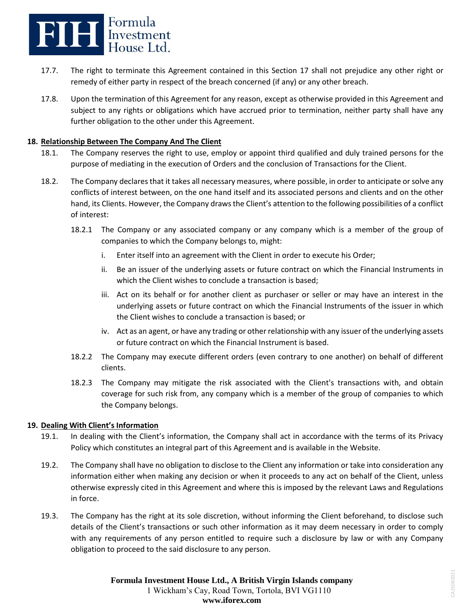

- 17.7. The right to terminate this Agreement contained in this Section 17 shall not prejudice any other right or remedy of either party in respect of the breach concerned (if any) or any other breach.
- 17.8. Upon the termination of this Agreement for any reason, except as otherwise provided in this Agreement and subject to any rights or obligations which have accrued prior to termination, neither party shall have any further obligation to the other under this Agreement.

### **18. Relationship Between The Company And The Client**

- 18.1. The Company reserves the right to use, employ or appoint third qualified and duly trained persons for the purpose of mediating in the execution of Orders and the conclusion of Transactions for the Client.
- 18.2. The Company declares that it takes all necessary measures, where possible, in order to anticipate or solve any conflicts of interest between, on the one hand itself and its associated persons and clients and on the other hand, its Clients. However, the Company draws the Client's attention to the following possibilities of a conflict of interest:
	- 18.2.1 The Company or any associated company or any company which is a member of the group of companies to which the Company belongs to, might:
		- i. Enter itself into an agreement with the Client in order to execute his Order;
		- ii. Be an issuer of the underlying assets or future contract on which the Financial Instruments in which the Client wishes to conclude a transaction is based:
		- iii. Act on its behalf or for another client as purchaser or seller or may have an interest in the underlying assets or future contract on which the Financial Instruments of the issuer in which the Client wishes to conclude a transaction is based; or
		- iv. Act as an agent, or have any trading or other relationship with any issuer of the underlying assets or future contract on which the Financial Instrument is based.
	- 18.2.2 The Company may execute different orders (even contrary to one another) on behalf of different clients.
	- 18.2.3 The Company may mitigate the risk associated with the Client's transactions with, and obtain coverage for such risk from, any company which is a member of the group of companies to which the Company belongs.

## **19. Dealing With Client's Information**

- 19.1. In dealing with the Client's information, the Company shall act in accordance with the terms of its Privacy Policy which constitutes an integral part of this Agreement and is available in the Website.
- 19.2. The Company shall have no obligation to disclose to the Client any information or take into consideration any information either when making any decision or when it proceeds to any act on behalf of the Client, unless otherwise expressly cited in this Agreement and where this is imposed by the relevant Laws and Regulations in force.
- 19.3. The Company has the right at its sole discretion, without informing the Client beforehand, to disclose such details of the Client's transactions or such other information as it may deem necessary in order to comply with any requirements of any person entitled to require such a disclosure by law or with any Company obligation to proceed to the said disclosure to any person.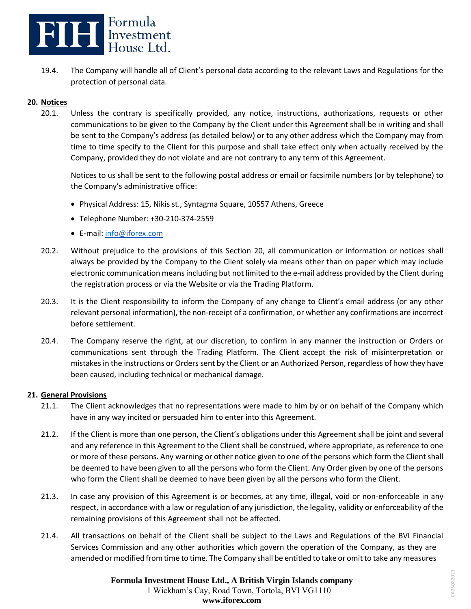

19.4. The Company will handle all of Client's personal data according to the relevant Laws and Regulations for the protection of personal data.

### **20. Notices**

20.1. Unless the contrary is specifically provided, any notice, instructions, authorizations, requests or other communications to be given to the Company by the Client under this Agreement shall be in writing and shall be sent to the Company's address (as detailed below) or to any other address which the Company may from time to time specify to the Client for this purpose and shall take effect only when actually received by the Company, provided they do not violate and are not contrary to any term of this Agreement.

Notices to us shall be sent to the following postal address or email or facsimile numbers (or by telephone) to the Company's administrative office:

- Physical Address: 15, Nikis st., Syntagma Square, 10557 Athens, Greece
- Telephone Number: +30-210-374-2559
- E-mail: [info@iforex.com](mailto:info@iforex.com)
- 20.2. Without prejudice to the provisions of this Section 20, all communication or information or notices shall always be provided by the Company to the Client solely via means other than on paper which may include electronic communication means including but not limited to the e-mail address provided by the Client during the registration process or via the Website or via the Trading Platform.
- 20.3. It is the Client responsibility to inform the Company of any change to Client's email address (or any other relevant personal information), the non-receipt of a confirmation, or whether any confirmations are incorrect before settlement.
- 20.4. The Company reserve the right, at our discretion, to confirm in any manner the instruction or Orders or communications sent through the Trading Platform. The Client accept the risk of misinterpretation or mistakes in the instructions or Orders sent by the Client or an Authorized Person, regardless of how they have been caused, including technical or mechanical damage.

### **21. General Provisions**

- 21.1. The Client acknowledges that no representations were made to him by or on behalf of the Company which have in any way incited or persuaded him to enter into this Agreement.
- 21.2. If the Client is more than one person, the Client's obligations under this Agreement shall be joint and several and any reference in this Agreement to the Client shall be construed, where appropriate, as reference to one or more of these persons. Any warning or other notice given to one of the persons which form the Client shall be deemed to have been given to all the persons who form the Client. Any Order given by one of the persons who form the Client shall be deemed to have been given by all the persons who form the Client.
- 21.3. In case any provision of this Agreement is or becomes, at any time, illegal, void or non-enforceable in any respect, in accordance with a law or regulation of any jurisdiction, the legality, validity or enforceability of the remaining provisions of this Agreement shall not be affected.
- 21.4. All transactions on behalf of the Client shall be subject to the Laws and Regulations of the BVI Financial Services Commission and any other authorities which govern the operation of the Company, as they are amended or modified from time to time. The Company shall be entitled to take or omit to take any measures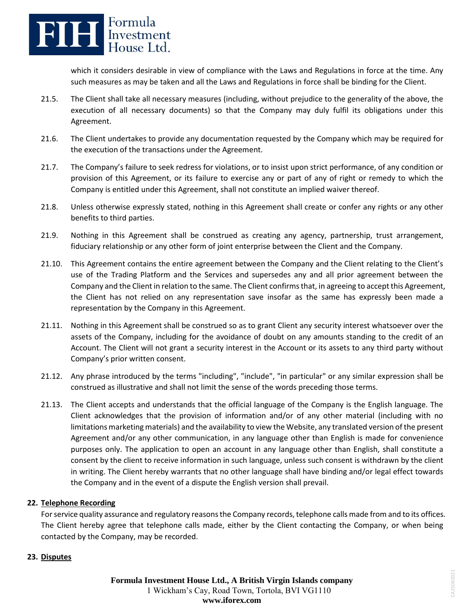

which it considers desirable in view of compliance with the Laws and Regulations in force at the time. Any such measures as may be taken and all the Laws and Regulations in force shall be binding for the Client.

- 21.5. The Client shall take all necessary measures (including, without prejudice to the generality of the above, the execution of all necessary documents) so that the Company may duly fulfil its obligations under this Agreement.
- 21.6. The Client undertakes to provide any documentation requested by the Company which may be required for the execution of the transactions under the Agreement.
- 21.7. The Company's failure to seek redress for violations, or to insist upon strict performance, of any condition or provision of this Agreement, or its failure to exercise any or part of any of right or remedy to which the Company is entitled under this Agreement, shall not constitute an implied waiver thereof.
- 21.8. Unless otherwise expressly stated, nothing in this Agreement shall create or confer any rights or any other benefits to third parties.
- 21.9. Nothing in this Agreement shall be construed as creating any agency, partnership, trust arrangement, fiduciary relationship or any other form of joint enterprise between the Client and the Company.
- 21.10. This Agreement contains the entire agreement between the Company and the Client relating to the Client's use of the Trading Platform and the Services and supersedes any and all prior agreement between the Company and the Client in relation to the same. The Client confirms that, in agreeing to accept this Agreement, the Client has not relied on any representation save insofar as the same has expressly been made a representation by the Company in this Agreement.
- 21.11. Nothing in this Agreement shall be construed so as to grant Client any security interest whatsoever over the assets of the Company, including for the avoidance of doubt on any amounts standing to the credit of an Account. The Client will not grant a security interest in the Account or its assets to any third party without Company's prior written consent.
- 21.12. Any phrase introduced by the terms "including", "include", "in particular" or any similar expression shall be construed as illustrative and shall not limit the sense of the words preceding those terms.
- 21.13. The Client accepts and understands that the official language of the Company is the English language. The Client acknowledges that the provision of information and/or of any other material (including with no limitations marketing materials) and the availability to view the Website, any translated version of the present Agreement and/or any other communication, in any language other than English is made for convenience purposes only. The application to open an account in any language other than English, shall constitute a consent by the client to receive information in such language, unless such consent is withdrawn by the client in writing. The Client hereby warrants that no other language shall have binding and/or legal effect towards the Company and in the event of a dispute the English version shall prevail.

## **22. Telephone Recording**

For service quality assurance and regulatory reasons the Company records, telephone calls made from and to its offices. The Client hereby agree that telephone calls made, either by the Client contacting the Company, or when being contacted by the Company, may be recorded.

### **23. Disputes**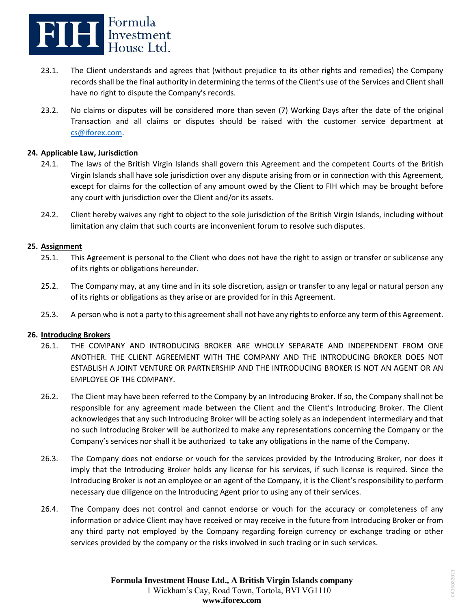

- 23.1. The Client understands and agrees that (without prejudice to its other rights and remedies) the Company records shall be the final authority in determining the terms of the Client's use of the Services and Client shall have no right to dispute the Company's records.
- 23.2. No claims or disputes will be considered more than seven (7) Working Days after the date of the original Transaction and all claims or disputes should be raised with the customer service department at [cs@iforex.com.](mailto:cs@iforex.com)

### **24. Applicable Law, Jurisdiction**

- 24.1. The laws of the British Virgin Islands shall govern this Agreement and the competent Courts of the British Virgin Islands shall have sole jurisdiction over any dispute arising from or in connection with this Agreement, except for claims for the collection of any amount owed by the Client to FIH which may be brought before any court with jurisdiction over the Client and/or its assets.
- 24.2. Client hereby waives any right to object to the sole jurisdiction of the British Virgin Islands, including without limitation any claim that such courts are inconvenient forum to resolve such disputes.

## **25. Assignment**

- 25.1. This Agreement is personal to the Client who does not have the right to assign or transfer or sublicense any of its rights or obligations hereunder.
- 25.2. The Company may, at any time and in its sole discretion, assign or transfer to any legal or natural person any of its rights or obligations as they arise or are provided for in this Agreement.
- 25.3. A person who is not a party to this agreement shall not have any rights to enforce any term of this Agreement.

### **26. Introducing Brokers**

- 26.1. THE COMPANY AND INTRODUCING BROKER ARE WHOLLY SEPARATE AND INDEPENDENT FROM ONE ANOTHER. THE CLIENT AGREEMENT WITH THE COMPANY AND THE INTRODUCING BROKER DOES NOT ESTABLISH A JOINT VENTURE OR PARTNERSHIP AND THE INTRODUCING BROKER IS NOT AN AGENT OR AN EMPLOYEE OF THE COMPANY.
- 26.2. The Client may have been referred to the Company by an Introducing Broker. If so, the Company shall not be responsible for any agreement made between the Client and the Client's Introducing Broker. The Client acknowledges that any such Introducing Broker will be acting solely as an independent intermediary and that no such Introducing Broker will be authorized to make any representations concerning the Company or the Company's services nor shall it be authorized to take any obligations in the name of the Company.
- 26.3. The Company does not endorse or vouch for the services provided by the Introducing Broker, nor does it imply that the Introducing Broker holds any license for his services, if such license is required. Since the Introducing Broker is not an employee or an agent of the Company, it is the Client's responsibility to perform necessary due diligence on the Introducing Agent prior to using any of their services.
- 26.4. The Company does not control and cannot endorse or vouch for the accuracy or completeness of any information or advice Client may have received or may receive in the future from Introducing Broker or from any third party not employed by the Company regarding foreign currency or exchange trading or other services provided by the company or the risks involved in such trading or in such services.